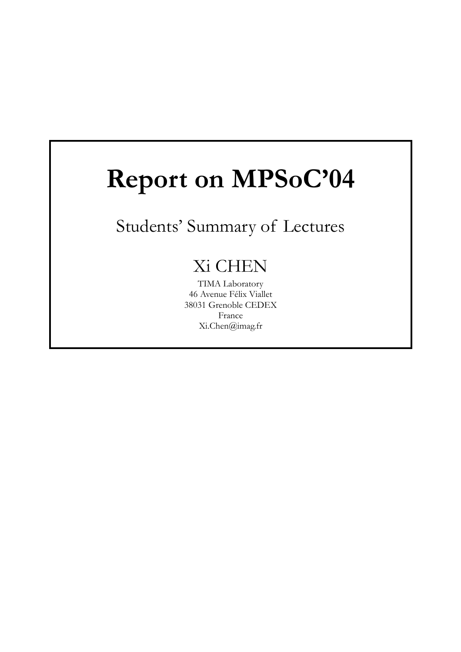# **Report on MPSoC'04**

## Students' Summary of Lectures

## Xi CHEN

TIMA Laboratory 46 Avenue Félix Viallet 38031 Grenoble CEDEX France Xi.Chen@imag.fr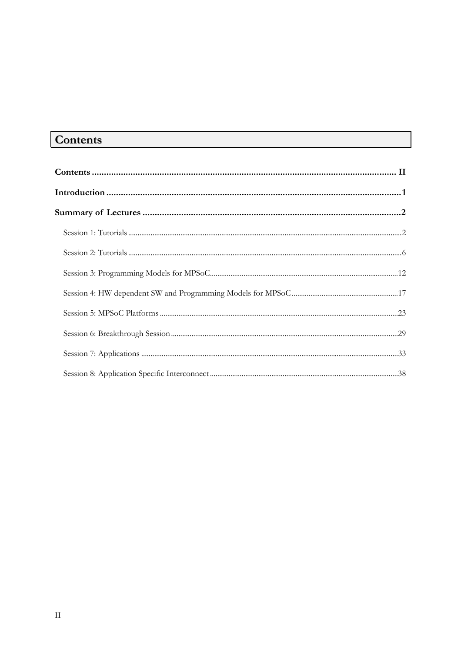## **Contents**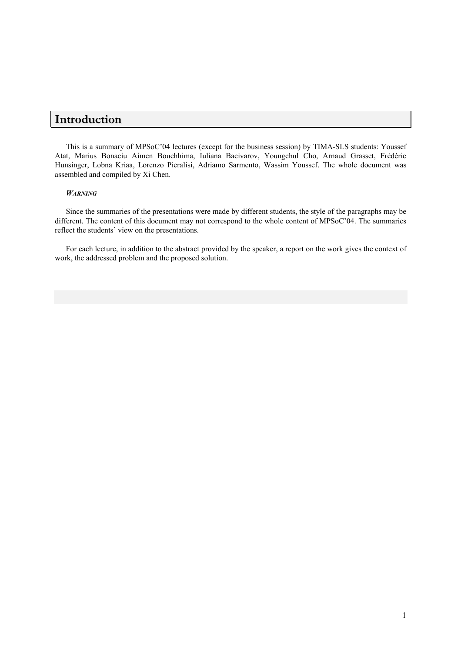## **Introduction**

This is a summary of MPSoC'04 lectures (except for the business session) by TIMA-SLS students: Youssef Atat, Marius Bonaciu Aimen Bouchhima, Iuliana Bacivarov, Youngchul Cho, Arnaud Grasset, Frédéric Hunsinger, Lobna Kriaa, Lorenzo Pieralisi, Adriamo Sarmento, Wassim Youssef. The whole document was assembled and compiled by Xi Chen.

#### *WARNING*

Since the summaries of the presentations were made by different students, the style of the paragraphs may be different. The content of this document may not correspond to the whole content of MPSoC'04. The summaries reflect the students' view on the presentations.

For each lecture, in addition to the abstract provided by the speaker, a report on the work gives the context of work, the addressed problem and the proposed solution.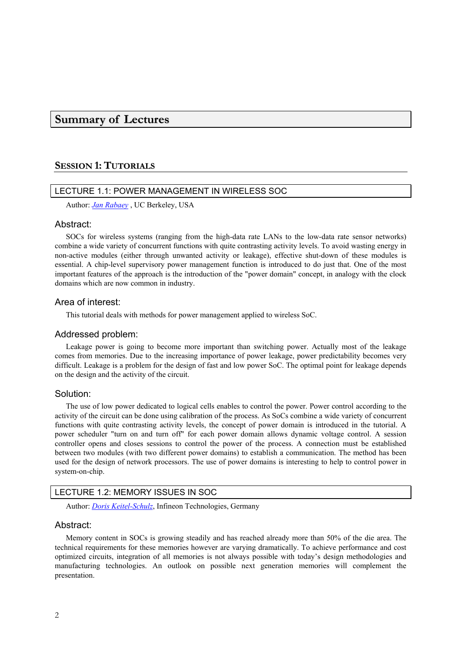## **Summary of Lectures**

## **SESSION 1: TUTORIALS**

## LECTURE 1.1: POWER MANAGEMENT IN WIRELESS SOC

Author: *Jan Rabaey* , UC Berkeley, USA

## Abstract:

SOCs for wireless systems (ranging from the high-data rate LANs to the low-data rate sensor networks) combine a wide variety of concurrent functions with quite contrasting activity levels. To avoid wasting energy in non-active modules (either through unwanted activity or leakage), effective shut-down of these modules is essential. A chip-level supervisory power management function is introduced to do just that. One of the most important features of the approach is the introduction of the "power domain" concept, in analogy with the clock domains which are now common in industry.

## Area of interest:

This tutorial deals with methods for power management applied to wireless SoC.

## Addressed problem:

Leakage power is going to become more important than switching power. Actually most of the leakage comes from memories. Due to the increasing importance of power leakage, power predictability becomes very difficult. Leakage is a problem for the design of fast and low power SoC. The optimal point for leakage depends on the design and the activity of the circuit.

## Solution:

The use of low power dedicated to logical cells enables to control the power. Power control according to the activity of the circuit can be done using calibration of the process. As SoCs combine a wide variety of concurrent functions with quite contrasting activity levels, the concept of power domain is introduced in the tutorial. A power scheduler "turn on and turn off" for each power domain allows dynamic voltage control. A session controller opens and closes sessions to control the power of the process. A connection must be established between two modules (with two different power domains) to establish a communication. The method has been used for the design of network processors. The use of power domains is interesting to help to control power in system-on-chip.

## LECTURE 1.2: MEMORY ISSUES IN SOC

Author: *Doris Keitel-Schulz*, Infineon Technologies, Germany

## Abstract:

Memory content in SOCs is growing steadily and has reached already more than 50% of the die area. The technical requirements for these memories however are varying dramatically. To achieve performance and cost optimized circuits, integration of all memories is not always possible with today's design methodologies and manufacturing technologies. An outlook on possible next generation memories will complement the presentation.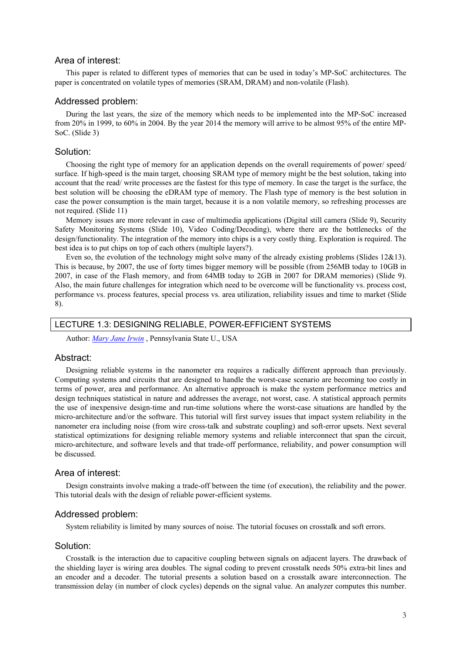## Area of interest:

This paper is related to different types of memories that can be used in today's MP-SoC architectures. The paper is concentrated on volatile types of memories (SRAM, DRAM) and non-volatile (Flash).

## Addressed problem:

During the last years, the size of the memory which needs to be implemented into the MP-SoC increased from 20% in 1999, to 60% in 2004. By the year 2014 the memory will arrive to be almost 95% of the entire MP-SoC. (Slide 3)

#### Solution:

Choosing the right type of memory for an application depends on the overall requirements of power/ speed/ surface. If high-speed is the main target, choosing SRAM type of memory might be the best solution, taking into account that the read/ write processes are the fastest for this type of memory. In case the target is the surface, the best solution will be choosing the eDRAM type of memory. The Flash type of memory is the best solution in case the power consumption is the main target, because it is a non volatile memory, so refreshing processes are not required. (Slide 11)

Memory issues are more relevant in case of multimedia applications (Digital still camera (Slide 9), Security Safety Monitoring Systems (Slide 10), Video Coding/Decoding), where there are the bottlenecks of the design/functionality. The integration of the memory into chips is a very costly thing. Exploration is required. The best idea is to put chips on top of each others (multiple layers?).

Even so, the evolution of the technology might solve many of the already existing problems (Slides 12&13). This is because, by 2007, the use of forty times bigger memory will be possible (from 256MB today to 10GB in 2007, in case of the Flash memory, and from 64MB today to 2GB in 2007 for DRAM memories) (Slide 9). Also, the main future challenges for integration which need to be overcome will be functionality vs. process cost, performance vs. process features, special process vs. area utilization, reliability issues and time to market (Slide 8).

## LECTURE 1.3: DESIGNING RELIABLE, POWER-EFFICIENT SYSTEMS

Author: *Mary Jane Irwin* , Pennsylvania State U., USA

#### Abstract:

Designing reliable systems in the nanometer era requires a radically different approach than previously. Computing systems and circuits that are designed to handle the worst-case scenario are becoming too costly in terms of power, area and performance. An alternative approach is make the system performance metrics and design techniques statistical in nature and addresses the average, not worst, case. A statistical approach permits the use of inexpensive design-time and run-time solutions where the worst-case situations are handled by the micro-architecture and/or the software. This tutorial will first survey issues that impact system reliability in the nanometer era including noise (from wire cross-talk and substrate coupling) and soft-error upsets. Next several statistical optimizations for designing reliable memory systems and reliable interconnect that span the circuit, micro-architecture, and software levels and that trade-off performance, reliability, and power consumption will be discussed.

## Area of interest:

Design constraints involve making a trade-off between the time (of execution), the reliability and the power. This tutorial deals with the design of reliable power-efficient systems.

## Addressed problem:

System reliability is limited by many sources of noise. The tutorial focuses on crosstalk and soft errors.

## Solution:

Crosstalk is the interaction due to capacitive coupling between signals on adjacent layers. The drawback of the shielding layer is wiring area doubles. The signal coding to prevent crosstalk needs 50% extra-bit lines and an encoder and a decoder. The tutorial presents a solution based on a crosstalk aware interconnection. The transmission delay (in number of clock cycles) depends on the signal value. An analyzer computes this number.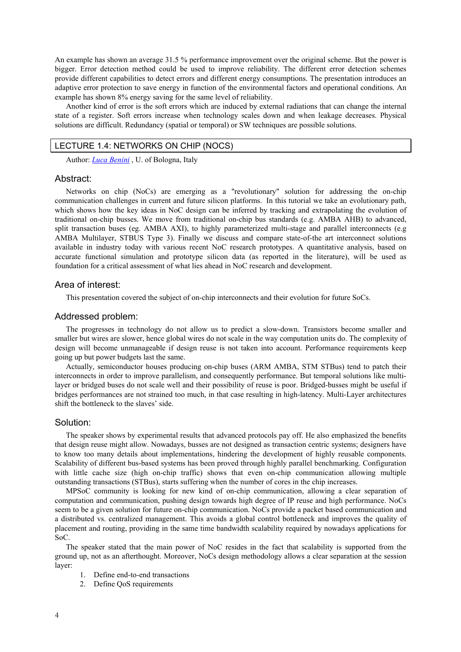An example has shown an average 31.5 % performance improvement over the original scheme. But the power is bigger. Error detection method could be used to improve reliability. The different error detection schemes provide different capabilities to detect errors and different energy consumptions. The presentation introduces an adaptive error protection to save energy in function of the environmental factors and operational conditions. An example has shown 8% energy saving for the same level of reliability.

Another kind of error is the soft errors which are induced by external radiations that can change the internal state of a register. Soft errors increase when technology scales down and when leakage decreases. Physical solutions are difficult. Redundancy (spatial or temporal) or SW techniques are possible solutions.

#### LECTURE 1.4: NETWORKS ON CHIP (NOCS)

Author: *Luca Benini* , U. of Bologna, Italy

#### Abstract:

Networks on chip (NoCs) are emerging as a "revolutionary" solution for addressing the on-chip communication challenges in current and future silicon platforms. In this tutorial we take an evolutionary path, which shows how the key ideas in NoC design can be inferred by tracking and extrapolating the evolution of traditional on-chip busses. We move from traditional on-chip bus standards (e.g. AMBA AHB) to advanced, split transaction buses (eg. AMBA AXI), to highly parameterized multi-stage and parallel interconnects (e.g. AMBA Multilayer, STBUS Type 3). Finally we discuss and compare state-of-the art interconnect solutions available in industry today with various recent NoC research prototypes. A quantitative analysis, based on accurate functional simulation and prototype silicon data (as reported in the literature), will be used as foundation for a critical assessment of what lies ahead in NoC research and development.

## Area of interest:

This presentation covered the subject of on-chip interconnects and their evolution for future SoCs.

## Addressed problem:

The progresses in technology do not allow us to predict a slow-down. Transistors become smaller and smaller but wires are slower, hence global wires do not scale in the way computation units do. The complexity of design will become unmanageable if design reuse is not taken into account. Performance requirements keep going up but power budgets last the same.

Actually, semiconductor houses producing on-chip buses (ARM AMBA, STM STBus) tend to patch their interconnects in order to improve parallelism, and consequently performance. But temporal solutions like multilayer or bridged buses do not scale well and their possibility of reuse is poor. Bridged-busses might be useful if bridges performances are not strained too much, in that case resulting in high-latency. Multi-Layer architectures shift the bottleneck to the slaves' side.

## Solution:

The speaker shows by experimental results that advanced protocols pay off. He also emphasized the benefits that design reuse might allow. Nowadays, busses are not designed as transaction centric systems; designers have to know too many details about implementations, hindering the development of highly reusable components. Scalability of different bus-based systems has been proved through highly parallel benchmarking. Configuration with little cache size (high on-chip traffic) shows that even on-chip communication allowing multiple outstanding transactions (STBus), starts suffering when the number of cores in the chip increases.

MPSoC community is looking for new kind of on-chip communication, allowing a clear separation of computation and communication, pushing design towards high degree of IP reuse and high performance. NoCs seem to be a given solution for future on-chip communication. NoCs provide a packet based communication and a distributed vs. centralized management. This avoids a global control bottleneck and improves the quality of placement and routing, providing in the same time bandwidth scalability required by nowadays applications for SoC.

The speaker stated that the main power of NoC resides in the fact that scalability is supported from the ground up, not as an afterthought. Moreover, NoCs design methodology allows a clear separation at the session layer:

- 1. Define end-to-end transactions
- 2. Define QoS requirements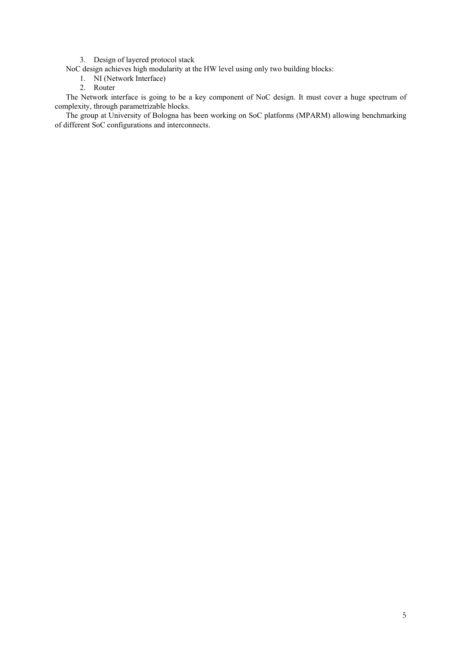3. Design of layered protocol stack

NoC design achieves high modularity at the HW level using only two building blocks:

- 1. NI (Network Interface)
- 2. Router

The Network interface is going to be a key component of NoC design. It must cover a huge spectrum of complexity, through parametrizable blocks.

The group at University of Bologna has been working on SoC platforms (MPARM) allowing benchmarking of different SoC configurations and interconnects.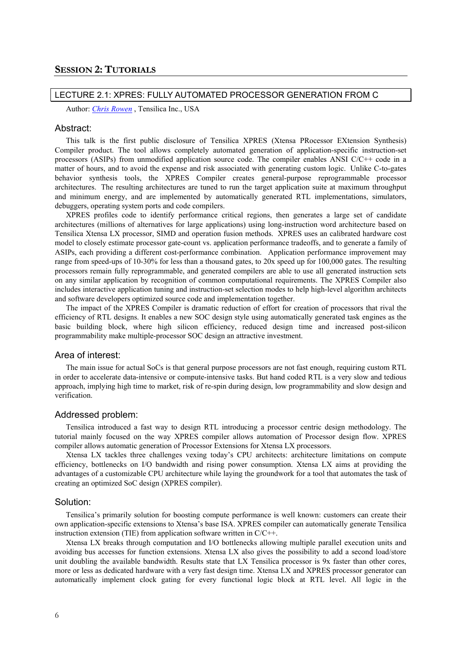## LECTURE 2.1: XPRES: FULLY AUTOMATED PROCESSOR GENERATION FROM C

Author: *Chris Rowen* , Tensilica Inc., USA

#### Abstract:

This talk is the first public disclosure of Tensilica XPRES (Xtensa PRocessor EXtension Synthesis) Compiler product. The tool allows completely automated generation of application-specific instruction-set processors (ASIPs) from unmodified application source code. The compiler enables ANSI C/C++ code in a matter of hours, and to avoid the expense and risk associated with generating custom logic. Unlike C-to-gates behavior synthesis tools, the XPRES Compiler creates general-purpose reprogrammable processor architectures. The resulting architectures are tuned to run the target application suite at maximum throughput and minimum energy, and are implemented by automatically generated RTL implementations, simulators, debuggers, operating system ports and code compilers.

XPRES profiles code to identify performance critical regions, then generates a large set of candidate architectures (millions of alternatives for large applications) using long-instruction word architecture based on Tensilica Xtensa LX processor, SIMD and operation fusion methods. XPRES uses an calibrated hardware cost model to closely estimate processor gate-count vs. application performance tradeoffs, and to generate a family of ASIPs, each providing a different cost-performance combination. Application performance improvement may range from speed-ups of 10-30% for less than a thousand gates, to 20x speed up for 100,000 gates. The resulting processors remain fully reprogrammable, and generated compilers are able to use all generated instruction sets on any similar application by recognition of common computational requirements. The XPRES Compiler also includes interactive application tuning and instruction-set selection modes to help high-level algorithm architects and software developers optimized source code and implementation together.

The impact of the XPRES Compiler is dramatic reduction of effort for creation of processors that rival the efficiency of RTL designs. It enables a new SOC design style using automatically generated task engines as the basic building block, where high silicon efficiency, reduced design time and increased post-silicon programmability make multiple-processor SOC design an attractive investment.

## Area of interest:

The main issue for actual SoCs is that general purpose processors are not fast enough, requiring custom RTL in order to accelerate data-intensive or compute-intensive tasks. But hand coded RTL is a very slow and tedious approach, implying high time to market, risk of re-spin during design, low programmability and slow design and verification.

#### Addressed problem:

Tensilica introduced a fast way to design RTL introducing a processor centric design methodology. The tutorial mainly focused on the way XPRES compiler allows automation of Processor design flow. XPRES compiler allows automatic generation of Processor Extensions for Xtensa LX processors.

Xtensa LX tackles three challenges vexing today's CPU architects: architecture limitations on compute efficiency, bottlenecks on I/O bandwidth and rising power consumption. Xtensa LX aims at providing the advantages of a customizable CPU architecture while laying the groundwork for a tool that automates the task of creating an optimized SoC design (XPRES compiler).

#### Solution:

Tensilica's primarily solution for boosting compute performance is well known: customers can create their own application-specific extensions to Xtensa's base ISA. XPRES compiler can automatically generate Tensilica instruction extension (TIE) from application software written in C/C++.

Xtensa LX breaks through computation and I/O bottlenecks allowing multiple parallel execution units and avoiding bus accesses for function extensions. Xtensa LX also gives the possibility to add a second load/store unit doubling the available bandwidth. Results state that LX Tensilica processor is 9x faster than other cores, more or less as dedicated hardware with a very fast design time. Xtensa LX and XPRES processor generator can automatically implement clock gating for every functional logic block at RTL level. All logic in the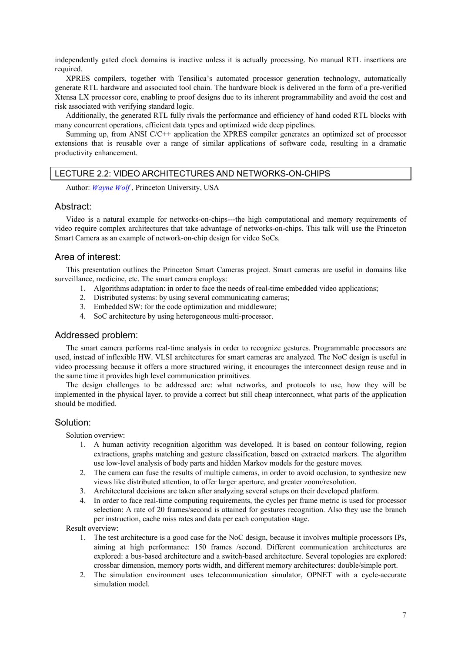independently gated clock domains is inactive unless it is actually processing. No manual RTL insertions are required.

XPRES compilers, together with Tensilica's automated processor generation technology, automatically generate RTL hardware and associated tool chain. The hardware block is delivered in the form of a pre-verified Xtensa LX processor core, enabling to proof designs due to its inherent programmability and avoid the cost and risk associated with verifying standard logic.

Additionally, the generated RTL fully rivals the performance and efficiency of hand coded RTL blocks with many concurrent operations, efficient data types and optimized wide deep pipelines.

Summing up, from ANSI C/C++ application the XPRES compiler generates an optimized set of processor extensions that is reusable over a range of similar applications of software code, resulting in a dramatic productivity enhancement.

## LECTURE 2.2: VIDEO ARCHITECTURES AND NETWORKS-ON-CHIPS

Author: *Wayne Wolf* , Princeton University, USA

#### Abstract:

Video is a natural example for networks-on-chips---the high computational and memory requirements of video require complex architectures that take advantage of networks-on-chips. This talk will use the Princeton Smart Camera as an example of network-on-chip design for video SoCs.

## Area of interest:

This presentation outlines the Princeton Smart Cameras project. Smart cameras are useful in domains like surveillance, medicine, etc. The smart camera employs:

- 1. Algorithms adaptation: in order to face the needs of real-time embedded video applications;
- 2. Distributed systems: by using several communicating cameras;
- 3. Embedded SW: for the code optimization and middleware;
- 4. SoC architecture by using heterogeneous multi-processor.

## Addressed problem:

The smart camera performs real-time analysis in order to recognize gestures. Programmable processors are used, instead of inflexible HW. VLSI architectures for smart cameras are analyzed. The NoC design is useful in video processing because it offers a more structured wiring, it encourages the interconnect design reuse and in the same time it provides high level communication primitives.

The design challenges to be addressed are: what networks, and protocols to use, how they will be implemented in the physical layer, to provide a correct but still cheap interconnect, what parts of the application should be modified.

## Solution:

Solution overview:

- 1. A human activity recognition algorithm was developed. It is based on contour following, region extractions, graphs matching and gesture classification, based on extracted markers. The algorithm use low-level analysis of body parts and hidden Markov models for the gesture moves.
- 2. The camera can fuse the results of multiple cameras, in order to avoid occlusion, to synthesize new views like distributed attention, to offer larger aperture, and greater zoom/resolution.
- 3. Architectural decisions are taken after analyzing several setups on their developed platform.
- 4. In order to face real-time computing requirements, the cycles per frame metric is used for processor selection: A rate of 20 frames/second is attained for gestures recognition. Also they use the branch per instruction, cache miss rates and data per each computation stage.

Result overview:

- 1. The test architecture is a good case for the NoC design, because it involves multiple processors IPs, aiming at high performance: 150 frames /second. Different communication architectures are explored: a bus-based architecture and a switch-based architecture. Several topologies are explored: crossbar dimension, memory ports width, and different memory architectures: double/simple port.
- 2. The simulation environment uses telecommunication simulator, OPNET with a cycle-accurate simulation model.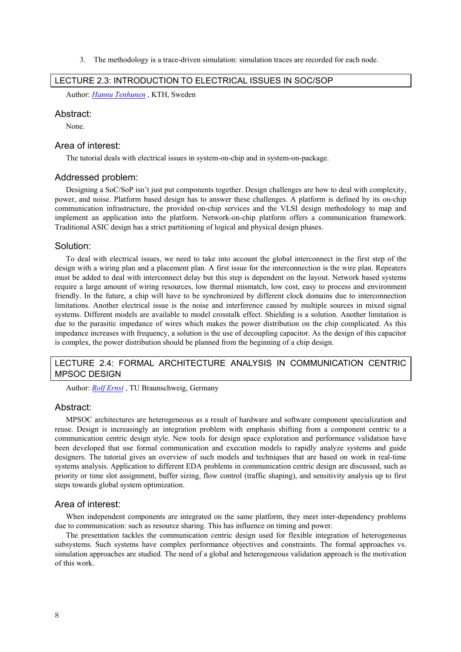3. The methodology is a trace-driven simulation: simulation traces are recorded for each node.

## LECTURE 2.3: INTRODUCTION TO ELECTRICAL ISSUES IN SOC/SOP

Author: *Hannu Tenhunen* , KTH, Sweden

## Abstract:

None.

## Area of interest:

The tutorial deals with electrical issues in system-on-chip and in system-on-package.

#### Addressed problem:

Designing a SoC/SoP isn't just put components together. Design challenges are how to deal with complexity, power, and noise. Platform based design has to answer these challenges. A platform is defined by its on-chip communication infrastructure, the provided on-chip services and the VLSI design methodology to map and implement an application into the platform. Network-on-chip platform offers a communication framework. Traditional ASIC design has a strict partitioning of logical and physical design phases.

#### Solution:

To deal with electrical issues, we need to take into account the global interconnect in the first step of the design with a wiring plan and a placement plan. A first issue for the interconnection is the wire plan. Repeaters must be added to deal with interconnect delay but this step is dependent on the layout. Network based systems require a large amount of wiring resources, low thermal mismatch, low cost, easy to process and environment friendly. In the future, a chip will have to be synchronized by different clock domains due to interconnection limitations. Another electrical issue is the noise and interference caused by multiple sources in mixed signal systems. Different models are available to model crosstalk effect. Shielding is a solution. Another limitation is due to the parasitic impedance of wires which makes the power distribution on the chip complicated. As this impedance increases with frequency, a solution is the use of decoupling capacitor. As the design of this capacitor is complex, the power distribution should be planned from the beginning of a chip design.

## LECTURE 2.4: FORMAL ARCHITECTURE ANALYSIS IN COMMUNICATION CENTRIC MPSOC DESIGN

Author: *Rolf Ernst* , TU Braunschweig, Germany

## Abstract:

MPSOC architectures are heterogeneous as a result of hardware and software component specialization and reuse. Design is increasingly an integration problem with emphasis shifting from a component centric to a communication centric design style. New tools for design space exploration and performance validation have been developed that use formal communication and execution models to rapidly analyze systems and guide designers. The tutorial gives an overview of such models and techniques that are based on work in real-time systems analysis. Application to different EDA problems in communication centric design are discussed, such as priority or time slot assignment, buffer sizing, flow control (traffic shaping), and sensitivity analysis up to first steps towards global system optimization.

## Area of interest:

When independent components are integrated on the same platform, they meet inter-dependency problems due to communication: such as resource sharing. This has influence on timing and power.

The presentation tackles the communication centric design used for flexible integration of heterogeneous subsystems. Such systems have complex performance objectives and constraints. The formal approaches vs. simulation approaches are studied. The need of a global and heterogeneous validation approach is the motivation of this work.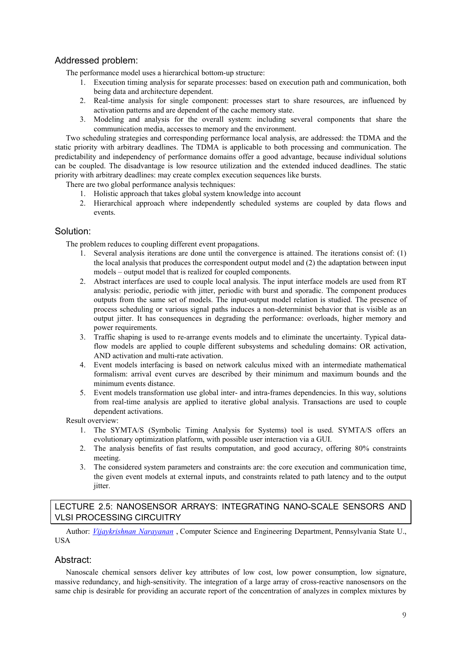## Addressed problem:

The performance model uses a hierarchical bottom-up structure:

- 1. Execution timing analysis for separate processes: based on execution path and communication, both being data and architecture dependent.
- 2. Real-time analysis for single component: processes start to share resources, are influenced by activation patterns and are dependent of the cache memory state.
- 3. Modeling and analysis for the overall system: including several components that share the communication media, accesses to memory and the environment.

Two scheduling strategies and corresponding performance local analysis, are addressed: the TDMA and the static priority with arbitrary deadlines. The TDMA is applicable to both processing and communication. The predictability and independency of performance domains offer a good advantage, because individual solutions can be coupled. The disadvantage is low resource utilization and the extended induced deadlines. The static priority with arbitrary deadlines: may create complex execution sequences like bursts.

There are two global performance analysis techniques:

- 1. Holistic approach that takes global system knowledge into account
- 2. Hierarchical approach where independently scheduled systems are coupled by data flows and events.

## Solution:

The problem reduces to coupling different event propagations.

- 1. Several analysis iterations are done until the convergence is attained. The iterations consist of: (1) the local analysis that produces the correspondent output model and (2) the adaptation between input models – output model that is realized for coupled components.
- 2. Abstract interfaces are used to couple local analysis. The input interface models are used from RT analysis: periodic, periodic with jitter, periodic with burst and sporadic. The component produces outputs from the same set of models. The input-output model relation is studied. The presence of process scheduling or various signal paths induces a non-determinist behavior that is visible as an output jitter. It has consequences in degrading the performance: overloads, higher memory and power requirements.
- 3. Traffic shaping is used to re-arrange events models and to eliminate the uncertainty. Typical dataflow models are applied to couple different subsystems and scheduling domains: OR activation, AND activation and multi-rate activation.
- 4. Event models interfacing is based on network calculus mixed with an intermediate mathematical formalism: arrival event curves are described by their minimum and maximum bounds and the minimum events distance.
- 5. Event models transformation use global inter- and intra-frames dependencies. In this way, solutions from real-time analysis are applied to iterative global analysis. Transactions are used to couple dependent activations.

Result overview:

- 1. The SYMTA/S (Symbolic Timing Analysis for Systems) tool is used. SYMTA/S offers an evolutionary optimization platform, with possible user interaction via a GUI.
- 2. The analysis benefits of fast results computation, and good accuracy, offering 80% constraints meeting.
- 3. The considered system parameters and constraints are: the core execution and communication time, the given event models at external inputs, and constraints related to path latency and to the output jitter.

## LECTURE 2.5: NANOSENSOR ARRAYS: INTEGRATING NANO-SCALE SENSORS AND VLSI PROCESSING CIRCUITRY

Author: *Vijaykrishnan Narayanan* , Computer Science and Engineering Department, Pennsylvania State U., USA

## Abstract:

Nanoscale chemical sensors deliver key attributes of low cost, low power consumption, low signature, massive redundancy, and high-sensitivity. The integration of a large array of cross-reactive nanosensors on the same chip is desirable for providing an accurate report of the concentration of analyzes in complex mixtures by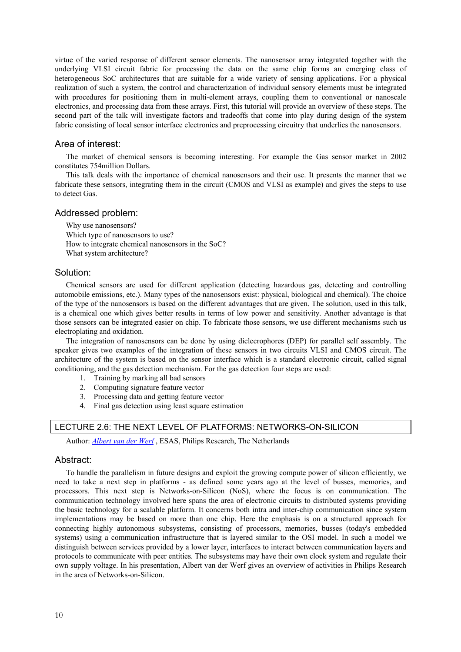virtue of the varied response of different sensor elements. The nanosensor array integrated together with the underlying VLSI circuit fabric for processing the data on the same chip forms an emerging class of heterogeneous SoC architectures that are suitable for a wide variety of sensing applications. For a physical realization of such a system, the control and characterization of individual sensory elements must be integrated with procedures for positioning them in multi-element arrays, coupling them to conventional or nanoscale electronics, and processing data from these arrays. First, this tutorial will provide an overview of these steps. The second part of the talk will investigate factors and tradeoffs that come into play during design of the system fabric consisting of local sensor interface electronics and preprocessing circuitry that underlies the nanosensors.

## Area of interest:

The market of chemical sensors is becoming interesting. For example the Gas sensor market in 2002 constitutes 754million Dollars.

This talk deals with the importance of chemical nanosensors and their use. It presents the manner that we fabricate these sensors, integrating them in the circuit (CMOS and VLSI as example) and gives the steps to use to detect Gas.

## Addressed problem:

Why use nanosensors? Which type of nanosensors to use? How to integrate chemical nanosensors in the SoC? What system architecture?

## Solution:

Chemical sensors are used for different application (detecting hazardous gas, detecting and controlling automobile emissions, etc.). Many types of the nanosensors exist: physical, biological and chemical). The choice of the type of the nanosensors is based on the different advantages that are given. The solution, used in this talk, is a chemical one which gives better results in terms of low power and sensitivity. Another advantage is that those sensors can be integrated easier on chip. To fabricate those sensors, we use different mechanisms such us electroplating and oxidation.

The integration of nanosensors can be done by using diclecrophores (DEP) for parallel self assembly. The speaker gives two examples of the integration of these sensors in two circuits VLSI and CMOS circuit. The architecture of the system is based on the sensor interface which is a standard electronic circuit, called signal conditioning, and the gas detection mechanism. For the gas detection four steps are used:

- 1. Training by marking all bad sensors
- 2. Computing signature feature vector
- 3. Processing data and getting feature vector
- 4. Final gas detection using least square estimation

## LECTURE 2.6: THE NEXT LEVEL OF PLATFORMS: NETWORKS-ON-SILICON

Author: *Albert van der Werf* , ESAS, Philips Research, The Netherlands

## Abstract:

To handle the parallelism in future designs and exploit the growing compute power of silicon efficiently, we need to take a next step in platforms - as defined some years ago at the level of busses, memories, and processors. This next step is Networks-on-Silicon (NoS), where the focus is on communication. The communication technology involved here spans the area of electronic circuits to distributed systems providing the basic technology for a scalable platform. It concerns both intra and inter-chip communication since system implementations may be based on more than one chip. Here the emphasis is on a structured approach for connecting highly autonomous subsystems, consisting of processors, memories, busses (today's embedded systems) using a communication infrastructure that is layered similar to the OSI model. In such a model we distinguish between services provided by a lower layer, interfaces to interact between communication layers and protocols to communicate with peer entities. The subsystems may have their own clock system and regulate their own supply voltage. In his presentation, Albert van der Werf gives an overview of activities in Philips Research in the area of Networks-on-Silicon.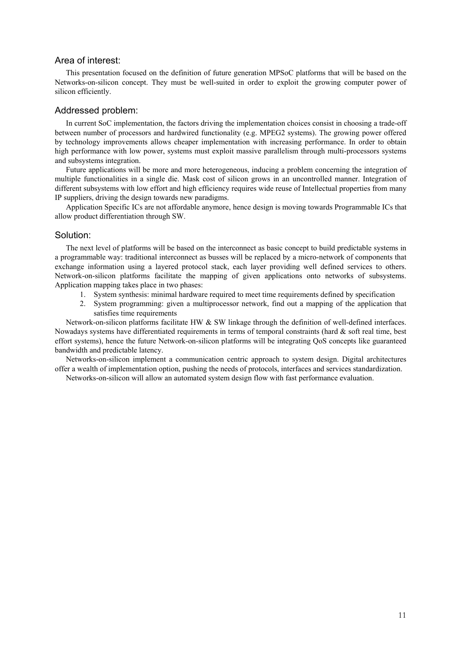## Area of interest:

This presentation focused on the definition of future generation MPSoC platforms that will be based on the Networks-on-silicon concept. They must be well-suited in order to exploit the growing computer power of silicon efficiently.

## Addressed problem:

In current SoC implementation, the factors driving the implementation choices consist in choosing a trade-off between number of processors and hardwired functionality (e.g. MPEG2 systems). The growing power offered by technology improvements allows cheaper implementation with increasing performance. In order to obtain high performance with low power, systems must exploit massive parallelism through multi-processors systems and subsystems integration.

Future applications will be more and more heterogeneous, inducing a problem concerning the integration of multiple functionalities in a single die. Mask cost of silicon grows in an uncontrolled manner. Integration of different subsystems with low effort and high efficiency requires wide reuse of Intellectual properties from many IP suppliers, driving the design towards new paradigms.

Application Specific ICs are not affordable anymore, hence design is moving towards Programmable ICs that allow product differentiation through SW.

## Solution:

The next level of platforms will be based on the interconnect as basic concept to build predictable systems in a programmable way: traditional interconnect as busses will be replaced by a micro-network of components that exchange information using a layered protocol stack, each layer providing well defined services to others. Network-on-silicon platforms facilitate the mapping of given applications onto networks of subsystems. Application mapping takes place in two phases:

- 1. System synthesis: minimal hardware required to meet time requirements defined by specification
- 2. System programming: given a multiprocessor network, find out a mapping of the application that satisfies time requirements

Network-on-silicon platforms facilitate HW & SW linkage through the definition of well-defined interfaces. Nowadays systems have differentiated requirements in terms of temporal constraints (hard & soft real time, best effort systems), hence the future Network-on-silicon platforms will be integrating QoS concepts like guaranteed bandwidth and predictable latency.

Networks-on-silicon implement a communication centric approach to system design. Digital architectures offer a wealth of implementation option, pushing the needs of protocols, interfaces and services standardization.

Networks-on-silicon will allow an automated system design flow with fast performance evaluation.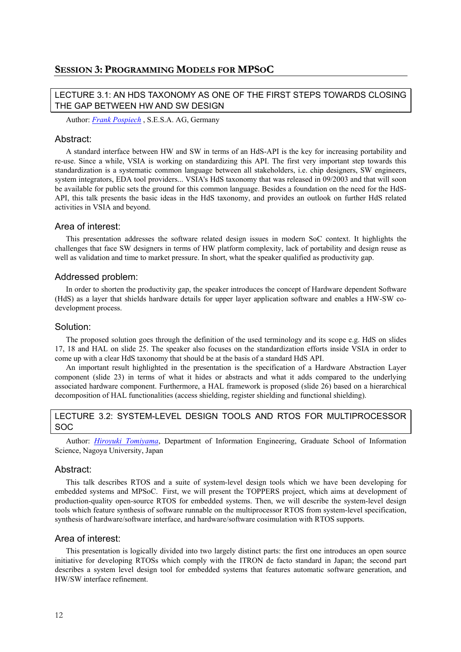## LECTURE 3.1: AN HDS TAXONOMY AS ONE OF THE FIRST STEPS TOWARDS CLOSING THE GAP BETWEEN HW AND SW DESIGN

Author: *Frank Pospiech* , S.E.S.A. AG, Germany

## Abstract:

A standard interface between HW and SW in terms of an HdS-API is the key for increasing portability and re-use. Since a while, VSIA is working on standardizing this API. The first very important step towards this standardization is a systematic common language between all stakeholders, i.e. chip designers, SW engineers, system integrators, EDA tool providers... VSIA's HdS taxonomy that was released in 09/2003 and that will soon be available for public sets the ground for this common language. Besides a foundation on the need for the HdS-API, this talk presents the basic ideas in the HdS taxonomy, and provides an outlook on further HdS related activities in VSIA and beyond.

## Area of interest:

This presentation addresses the software related design issues in modern SoC context. It highlights the challenges that face SW designers in terms of HW platform complexity, lack of portability and design reuse as well as validation and time to market pressure. In short, what the speaker qualified as productivity gap.

## Addressed problem:

In order to shorten the productivity gap, the speaker introduces the concept of Hardware dependent Software (HdS) as a layer that shields hardware details for upper layer application software and enables a HW-SW codevelopment process.

## Solution:

The proposed solution goes through the definition of the used terminology and its scope e.g. HdS on slides 17, 18 and HAL on slide 25. The speaker also focuses on the standardization efforts inside VSIA in order to come up with a clear HdS taxonomy that should be at the basis of a standard HdS API.

An important result highlighted in the presentation is the specification of a Hardware Abstraction Layer component (slide 23) in terms of what it hides or abstracts and what it adds compared to the underlying associated hardware component. Furthermore, a HAL framework is proposed (slide 26) based on a hierarchical decomposition of HAL functionalities (access shielding, register shielding and functional shielding).

## LECTURE 3.2: SYSTEM-LEVEL DESIGN TOOLS AND RTOS FOR MULTIPROCESSOR SOC

Author: *Hiroyuki Tomiyama*, Department of Information Engineering, Graduate School of Information Science, Nagoya University, Japan

## Abstract:

This talk describes RTOS and a suite of system-level design tools which we have been developing for embedded systems and MPSoC. First, we will present the TOPPERS project, which aims at development of production-quality open-source RTOS for embedded systems. Then, we will describe the system-level design tools which feature synthesis of software runnable on the multiprocessor RTOS from system-level specification, synthesis of hardware/software interface, and hardware/software cosimulation with RTOS supports.

## Area of interest:

This presentation is logically divided into two largely distinct parts: the first one introduces an open source initiative for developing RTOSs which comply with the ITRON de facto standard in Japan; the second part describes a system level design tool for embedded systems that features automatic software generation, and HW/SW interface refinement.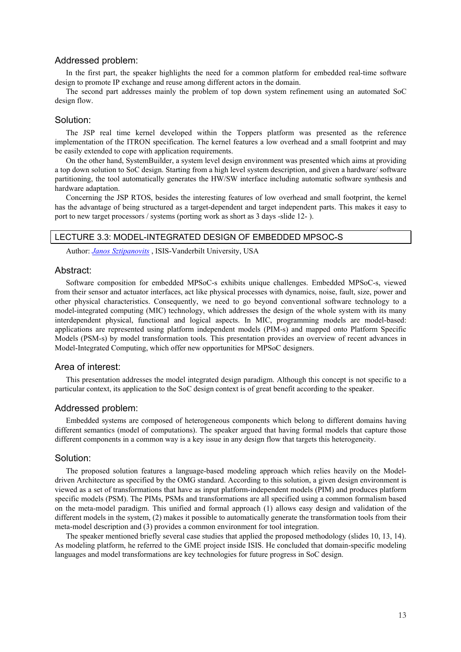## Addressed problem:

In the first part, the speaker highlights the need for a common platform for embedded real-time software design to promote IP exchange and reuse among different actors in the domain.

The second part addresses mainly the problem of top down system refinement using an automated SoC design flow.

## Solution:

The JSP real time kernel developed within the Toppers platform was presented as the reference implementation of the ITRON specification. The kernel features a low overhead and a small footprint and may be easily extended to cope with application requirements.

On the other hand, SystemBuilder, a system level design environment was presented which aims at providing a top down solution to SoC design. Starting from a high level system description, and given a hardware/ software partitioning, the tool automatically generates the HW/SW interface including automatic software synthesis and hardware adaptation.

Concerning the JSP RTOS, besides the interesting features of low overhead and small footprint, the kernel has the advantage of being structured as a target-dependent and target independent parts. This makes it easy to port to new target processors / systems (porting work as short as 3 days -slide 12- ).

## LECTURE 3.3: MODEL-INTEGRATED DESIGN OF EMBEDDED MPSOC-S

Author: *Janos Sztipanovits* , ISIS-Vanderbilt University, USA

## Abstract:

Software composition for embedded MPSoC-s exhibits unique challenges. Embedded MPSoC-s, viewed from their sensor and actuator interfaces, act like physical processes with dynamics, noise, fault, size, power and other physical characteristics. Consequently, we need to go beyond conventional software technology to a model-integrated computing (MIC) technology, which addresses the design of the whole system with its many interdependent physical, functional and logical aspects. In MIC, programming models are model-based: applications are represented using platform independent models (PIM-s) and mapped onto Platform Specific Models (PSM-s) by model transformation tools. This presentation provides an overview of recent advances in Model-Integrated Computing, which offer new opportunities for MPSoC designers.

#### Area of interest:

This presentation addresses the model integrated design paradigm. Although this concept is not specific to a particular context, its application to the SoC design context is of great benefit according to the speaker.

#### Addressed problem:

Embedded systems are composed of heterogeneous components which belong to different domains having different semantics (model of computations). The speaker argued that having formal models that capture those different components in a common way is a key issue in any design flow that targets this heterogeneity.

#### Solution:

The proposed solution features a language-based modeling approach which relies heavily on the Modeldriven Architecture as specified by the OMG standard. According to this solution, a given design environment is viewed as a set of transformations that have as input platform-independent models (PIM) and produces platform specific models (PSM). The PIMs, PSMs and transformations are all specified using a common formalism based on the meta-model paradigm. This unified and formal approach (1) allows easy design and validation of the different models in the system, (2) makes it possible to automatically generate the transformation tools from their meta-model description and (3) provides a common environment for tool integration.

The speaker mentioned briefly several case studies that applied the proposed methodology (slides 10, 13, 14). As modeling platform, he referred to the GME project inside ISIS. He concluded that domain-specific modeling languages and model transformations are key technologies for future progress in SoC design.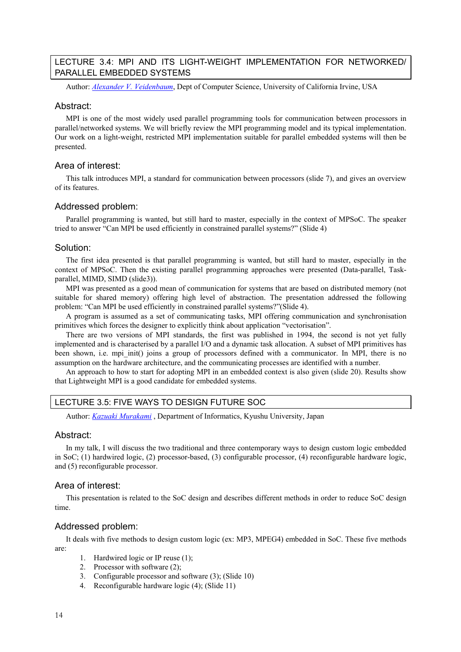## LECTURE 3.4: MPI AND ITS LIGHT-WEIGHT IMPLEMENTATION FOR NETWORKED/ PARALLEL EMBEDDED SYSTEMS

Author: *Alexander V. Veidenbaum*, Dept of Computer Science, University of California Irvine, USA

## Abstract:

MPI is one of the most widely used parallel programming tools for communication between processors in parallel/networked systems. We will briefly review the MPI programming model and its typical implementation. Our work on a light-weight, restricted MPI implementation suitable for parallel embedded systems will then be presented.

## Area of interest:

This talk introduces MPI, a standard for communication between processors (slide 7), and gives an overview of its features.

## Addressed problem:

Parallel programming is wanted, but still hard to master, especially in the context of MPSoC. The speaker tried to answer "Can MPI be used efficiently in constrained parallel systems?" (Slide 4)

#### Solution:

The first idea presented is that parallel programming is wanted, but still hard to master, especially in the context of MPSoC. Then the existing parallel programming approaches were presented (Data-parallel, Taskparallel, MIMD, SIMD (slide3)).

MPI was presented as a good mean of communication for systems that are based on distributed memory (not suitable for shared memory) offering high level of abstraction. The presentation addressed the following problem: "Can MPI be used efficiently in constrained parallel systems?"(Slide 4).

A program is assumed as a set of communicating tasks, MPI offering communication and synchronisation primitives which forces the designer to explicitly think about application "vectorisation".

There are two versions of MPI standards, the first was published in 1994, the second is not yet fully implemented and is characterised by a parallel I/O and a dynamic task allocation. A subset of MPI primitives has been shown, i.e. mpi init() joins a group of processors defined with a communicator. In MPI, there is no assumption on the hardware architecture, and the communicating processes are identified with a number.

An approach to how to start for adopting MPI in an embedded context is also given (slide 20). Results show that Lightweight MPI is a good candidate for embedded systems.

## LECTURE 3.5: FIVE WAYS TO DESIGN FUTURE SOC

Author: *Kazuaki Murakami* , Department of Informatics, Kyushu University, Japan

## Abstract:

In my talk, I will discuss the two traditional and three contemporary ways to design custom logic embedded in SoC; (1) hardwired logic, (2) processor-based, (3) configurable processor, (4) reconfigurable hardware logic, and (5) reconfigurable processor.

## Area of interest:

This presentation is related to the SoC design and describes different methods in order to reduce SoC design time.

## Addressed problem:

It deals with five methods to design custom logic (ex: MP3, MPEG4) embedded in SoC. These five methods are:

- 1. Hardwired logic or IP reuse (1);
- 2. Processor with software (2);
- 3. Configurable processor and software (3); (Slide 10)
- 4. Reconfigurable hardware logic (4); (Slide 11)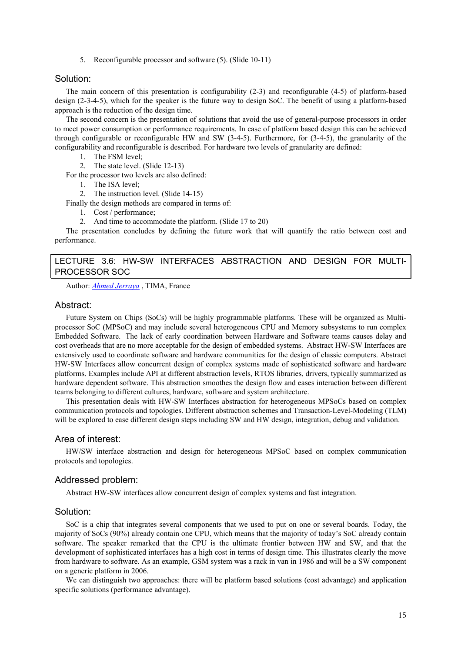5. Reconfigurable processor and software (5). (Slide 10-11)

## Solution:

The main concern of this presentation is configurability (2-3) and reconfigurable (4-5) of platform-based design (2-3-4-5), which for the speaker is the future way to design SoC. The benefit of using a platform-based approach is the reduction of the design time.

The second concern is the presentation of solutions that avoid the use of general-purpose processors in order to meet power consumption or performance requirements. In case of platform based design this can be achieved through configurable or reconfigurable HW and SW (3-4-5). Furthermore, for (3-4-5), the granularity of the configurability and reconfigurable is described. For hardware two levels of granularity are defined:

- 1. The FSM level;
- 2. The state level. (Slide 12-13)
- For the processor two levels are also defined:
	- 1. The ISA level;
	- 2. The instruction level. (Slide 14-15)
- Finally the design methods are compared in terms of:
	- 1. Cost / performance;
	- 2. And time to accommodate the platform. (Slide 17 to 20)

The presentation concludes by defining the future work that will quantify the ratio between cost and performance.

## LECTURE 3.6: HW-SW INTERFACES ABSTRACTION AND DESIGN FOR MULTI-PROCESSOR SOC

Author: *Ahmed Jerraya* , TIMA, France

#### Abstract:

Future System on Chips (SoCs) will be highly programmable platforms. These will be organized as Multiprocessor SoC (MPSoC) and may include several heterogeneous CPU and Memory subsystems to run complex Embedded Software. The lack of early coordination between Hardware and Software teams causes delay and cost overheads that are no more acceptable for the design of embedded systems. Abstract HW-SW Interfaces are extensively used to coordinate software and hardware communities for the design of classic computers. Abstract HW-SW Interfaces allow concurrent design of complex systems made of sophisticated software and hardware platforms. Examples include API at different abstraction levels, RTOS libraries, drivers, typically summarized as hardware dependent software. This abstraction smoothes the design flow and eases interaction between different teams belonging to different cultures, hardware, software and system architecture.

This presentation deals with HW-SW Interfaces abstraction for heterogeneous MPSoCs based on complex communication protocols and topologies. Different abstraction schemes and Transaction-Level-Modeling (TLM) will be explored to ease different design steps including SW and HW design, integration, debug and validation.

## Area of interest:

HW/SW interface abstraction and design for heterogeneous MPSoC based on complex communication protocols and topologies.

## Addressed problem:

Abstract HW-SW interfaces allow concurrent design of complex systems and fast integration.

## Solution:

SoC is a chip that integrates several components that we used to put on one or several boards. Today, the majority of SoCs (90%) already contain one CPU, which means that the majority of today's SoC already contain software. The speaker remarked that the CPU is the ultimate frontier between HW and SW, and that the development of sophisticated interfaces has a high cost in terms of design time. This illustrates clearly the move from hardware to software. As an example, GSM system was a rack in van in 1986 and will be a SW component on a generic platform in 2006.

We can distinguish two approaches: there will be platform based solutions (cost advantage) and application specific solutions (performance advantage).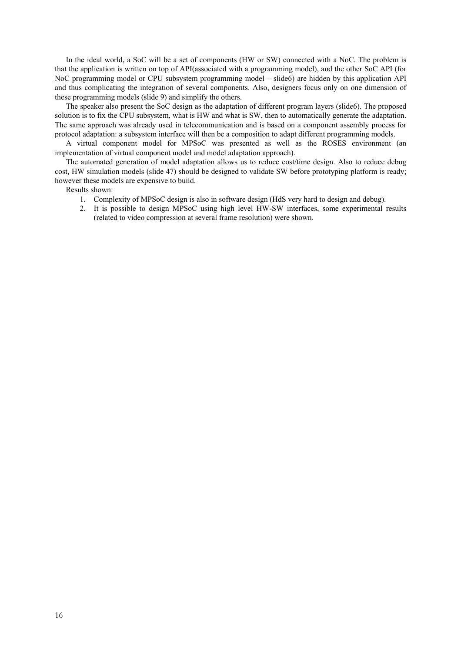In the ideal world, a SoC will be a set of components (HW or SW) connected with a NoC. The problem is that the application is written on top of API(associated with a programming model), and the other SoC API (for NoC programming model or CPU subsystem programming model – slide6) are hidden by this application API and thus complicating the integration of several components. Also, designers focus only on one dimension of these programming models (slide 9) and simplify the others.

The speaker also present the SoC design as the adaptation of different program layers (slide6). The proposed solution is to fix the CPU subsystem, what is HW and what is SW, then to automatically generate the adaptation. The same approach was already used in telecommunication and is based on a component assembly process for protocol adaptation: a subsystem interface will then be a composition to adapt different programming models.

A virtual component model for MPSoC was presented as well as the ROSES environment (an implementation of virtual component model and model adaptation approach).

The automated generation of model adaptation allows us to reduce cost/time design. Also to reduce debug cost, HW simulation models (slide 47) should be designed to validate SW before prototyping platform is ready; however these models are expensive to build.

Results shown:

- 1. Complexity of MPSoC design is also in software design (HdS very hard to design and debug).
- 2. It is possible to design MPSoC using high level HW-SW interfaces, some experimental results (related to video compression at several frame resolution) were shown.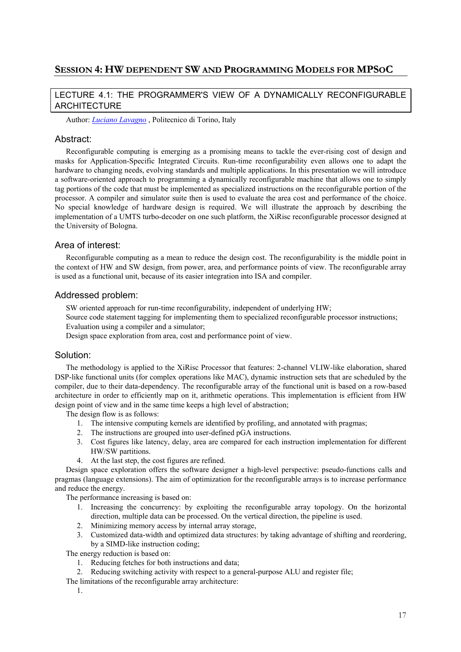## **SESSION 4: HW DEPENDENT SW AND PROGRAMMING MODELS FOR MPSOC**

## LECTURE 4.1: THE PROGRAMMER'S VIEW OF A DYNAMICALLY RECONFIGURABLE ARCHITECTURE

Author: *Luciano Lavagno* , Politecnico di Torino, Italy

## Abstract:

Reconfigurable computing is emerging as a promising means to tackle the ever-rising cost of design and masks for Application-Specific Integrated Circuits. Run-time reconfigurability even allows one to adapt the hardware to changing needs, evolving standards and multiple applications. In this presentation we will introduce a software-oriented approach to programming a dynamically reconfigurable machine that allows one to simply tag portions of the code that must be implemented as specialized instructions on the reconfigurable portion of the processor. A compiler and simulator suite then is used to evaluate the area cost and performance of the choice. No special knowledge of hardware design is required. We will illustrate the approach by describing the implementation of a UMTS turbo-decoder on one such platform, the XiRisc reconfigurable processor designed at the University of Bologna.

## Area of interest:

Reconfigurable computing as a mean to reduce the design cost. The reconfigurability is the middle point in the context of HW and SW design, from power, area, and performance points of view. The reconfigurable array is used as a functional unit, because of its easier integration into ISA and compiler.

## Addressed problem:

SW oriented approach for run-time reconfigurability, independent of underlying HW;

Source code statement tagging for implementing them to specialized reconfigurable processor instructions;

Evaluation using a compiler and a simulator;

Design space exploration from area, cost and performance point of view.

## Solution:

The methodology is applied to the XiRisc Processor that features: 2-channel VLIW-like elaboration, shared DSP-like functional units (for complex operations like MAC), dynamic instruction sets that are scheduled by the compiler, due to their data-dependency. The reconfigurable array of the functional unit is based on a row-based architecture in order to efficiently map on it, arithmetic operations. This implementation is efficient from HW design point of view and in the same time keeps a high level of abstraction;

The design flow is as follows:

- 1. The intensive computing kernels are identified by profiling, and annotated with pragmas;
- 2. The instructions are grouped into user-defined pGA instructions.
- 3. Cost figures like latency, delay, area are compared for each instruction implementation for different HW/SW partitions.
- 4. At the last step, the cost figures are refined.

Design space exploration offers the software designer a high-level perspective: pseudo-functions calls and pragmas (language extensions). The aim of optimization for the reconfigurable arrays is to increase performance and reduce the energy.

The performance increasing is based on:

- 1. Increasing the concurrency: by exploiting the reconfigurable array topology. On the horizontal direction, multiple data can be processed. On the vertical direction, the pipeline is used.
- 2. Minimizing memory access by internal array storage,
- 3. Customized data-width and optimized data structures: by taking advantage of shifting and reordering, by a SIMD-like instruction coding;

The energy reduction is based on:

- 1. Reducing fetches for both instructions and data;
- 2. Reducing switching activity with respect to a general-purpose ALU and register file;
- The limitations of the reconfigurable array architecture:
	- 1.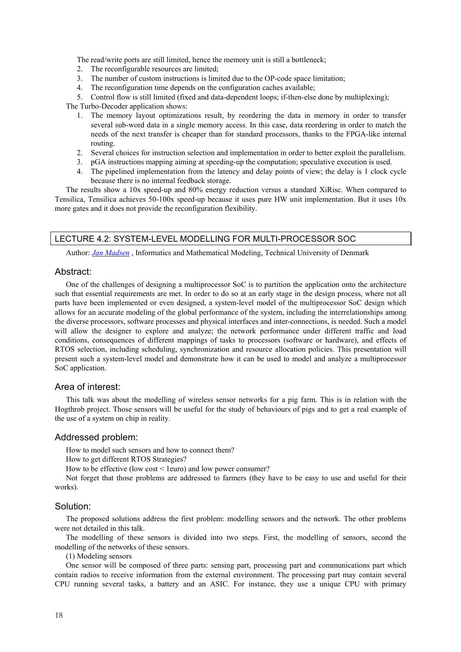The read/write ports are still limited, hence the memory unit is still a bottleneck;

- 2. The reconfigurable resources are limited;
- 3. The number of custom instructions is limited due to the OP-code space limitation;
- 4. The reconfiguration time depends on the configuration caches available;

5. Control flow is still limited (fixed and data-dependent loops; if-then-else done by multiplexing);

The Turbo-Decoder application shows:

- 1. The memory layout optimizations result, by reordering the data in memory in order to transfer several sub-word data in a single memory access. In this case, data reordering in order to match the needs of the next transfer is cheaper than for standard processors, thanks to the FPGA-like internal routing.
- 2. Several choices for instruction selection and implementation in order to better exploit the parallelism.
- 3. pGA instructions mapping aiming at speeding-up the computation; speculative execution is used.
- 4. The pipelined implementation from the latency and delay points of view; the delay is 1 clock cycle because there is no internal feedback storage.

The results show a 10x speed-up and 80% energy reduction versus a standard XiRisc. When compared to Tensilica, Tensilica achieves 50-100x speed-up because it uses pure HW unit implementation. But it uses 10x more gates and it does not provide the reconfiguration flexibility.

#### LECTURE 4.2: SYSTEM-LEVEL MODELLING FOR MULTI-PROCESSOR SOC

Author: *Jan Madsen* , Informatics and Mathematical Modeling, Technical University of Denmark

#### Abstract:

One of the challenges of designing a multiprocessor SoC is to partition the application onto the architecture such that essential requirements are met. In order to do so at an early stage in the design process, where not all parts have been implemented or even designed, a system-level model of the multiprocessor SoC design which allows for an accurate modeling of the global performance of the system, including the interrelationships among the diverse processors, software processes and physical interfaces and inter-connections, is needed. Such a model will allow the designer to explore and analyze; the network performance under different traffic and load conditions, consequences of different mappings of tasks to processors (software or hardware), and effects of RTOS selection, including scheduling, synchronization and resource allocation policies. This presentation will present such a system-level model and demonstrate how it can be used to model and analyze a multiprocessor SoC application.

## Area of interest:

This talk was about the modelling of wireless sensor networks for a pig farm. This is in relation with the Hogthrob project. Those sensors will be useful for the study of behaviours of pigs and to get a real example of the use of a system on chip in reality.

#### Addressed problem:

How to model such sensors and how to connect them?

How to get different RTOS Strategies?

How to be effective (low cost < 1euro) and low power consumer?

Not forget that those problems are addressed to farmers (they have to be easy to use and useful for their works).

#### Solution:

The proposed solutions address the first problem: modelling sensors and the network. The other problems were not detailed in this talk.

The modelling of these sensors is divided into two steps. First, the modelling of sensors, second the modelling of the networks of these sensors.

(1) Modeling sensors

One sensor will be composed of three parts: sensing part, processing part and communications part which contain radios to receive information from the external environment. The processing part may contain several CPU running several tasks, a battery and an ASIC. For instance, they use a unique CPU with primary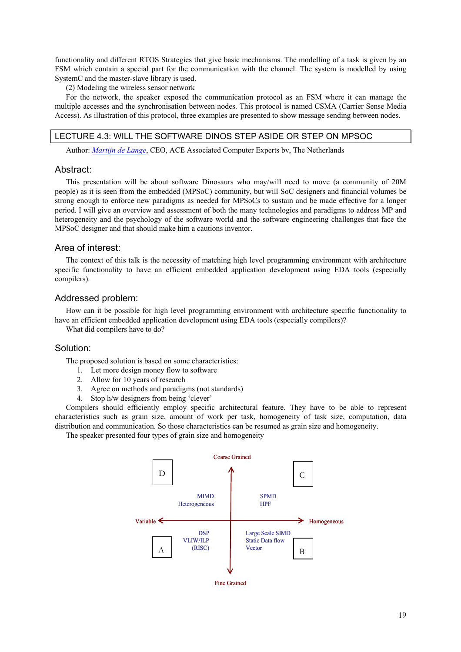functionality and different RTOS Strategies that give basic mechanisms. The modelling of a task is given by an FSM which contain a special part for the communication with the channel. The system is modelled by using SystemC and the master-slave library is used.

(2) Modeling the wireless sensor network

For the network, the speaker exposed the communication protocol as an FSM where it can manage the multiple accesses and the synchronisation between nodes. This protocol is named CSMA (Carrier Sense Media Access). As illustration of this protocol, three examples are presented to show message sending between nodes.

## LECTURE 4.3: WILL THE SOFTWARE DINOS STEP ASIDE OR STEP ON MPSOC

Author: *Martijn de Lange*, CEO, ACE Associated Computer Experts bv, The Netherlands

## Abstract:

This presentation will be about software Dinosaurs who may/will need to move (a community of 20M people) as it is seen from the embedded (MPSoC) community, but will SoC designers and financial volumes be strong enough to enforce new paradigms as needed for MPSoCs to sustain and be made effective for a longer period. I will give an overview and assessment of both the many technologies and paradigms to address MP and heterogeneity and the psychology of the software world and the software engineering challenges that face the MPSoC designer and that should make him a cautions inventor.

## Area of interest:

The context of this talk is the necessity of matching high level programming environment with architecture specific functionality to have an efficient embedded application development using EDA tools (especially compilers).

## Addressed problem:

How can it be possible for high level programming environment with architecture specific functionality to have an efficient embedded application development using EDA tools (especially compilers)?

What did compilers have to do?

## Solution:

The proposed solution is based on some characteristics:

- 1. Let more design money flow to software
- 2. Allow for 10 years of research
- 3. Agree on methods and paradigms (not standards)
- 4. Stop h/w designers from being 'clever'

Compilers should efficiently employ specific architectural feature. They have to be able to represent characteristics such as grain size, amount of work per task, homogeneity of task size, computation, data distribution and communication. So those characteristics can be resumed as grain size and homogeneity.

The speaker presented four types of grain size and homogeneity

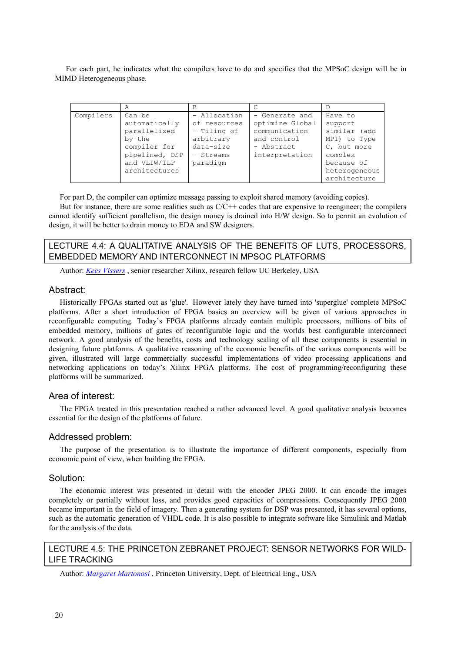For each part, he indicates what the compilers have to do and specifies that the MPSoC design will be in MIMD Heterogeneous phase.

|           | Α              | B            |                 |               |
|-----------|----------------|--------------|-----------------|---------------|
| Compilers | Can be         | - Allocation | - Generate and  | Have to       |
|           | automatically  | of resources | optimize Global | support       |
|           | parallelized   | - Tiling of  | communication   | similar (add  |
|           | by the         | arbitrary    | and control     | MPI) to Type  |
|           | compiler for   | data-size    | - Abstract      | C, but more   |
|           | pipelined, DSP | - Streams    | interpretation  | complex       |
|           | and VLIW/ILP   | paradigm     |                 | because of    |
|           | architectures  |              |                 | heterogeneous |
|           |                |              |                 | architecture  |

For part D, the compiler can optimize message passing to exploit shared memory (avoiding copies).

But for instance, there are some realities such as  $C/C++$  codes that are expensive to reengineer; the compilers cannot identify sufficient parallelism, the design money is drained into H/W design. So to permit an evolution of design, it will be better to drain money to EDA and SW designers.

## LECTURE 4.4: A QUALITATIVE ANALYSIS OF THE BENEFITS OF LUTS, PROCESSORS, EMBEDDED MEMORY AND INTERCONNECT IN MPSOC PLATFORMS

Author: *Kees Vissers* , senior researcher Xilinx, research fellow UC Berkeley, USA

## Abstract:

Historically FPGAs started out as 'glue'. However lately they have turned into 'superglue' complete MPSoC platforms. After a short introduction of FPGA basics an overview will be given of various approaches in reconfigurable computing. Today's FPGA platforms already contain multiple processors, millions of bits of embedded memory, millions of gates of reconfigurable logic and the worlds best configurable interconnect network. A good analysis of the benefits, costs and technology scaling of all these components is essential in designing future platforms. A qualitative reasoning of the economic benefits of the various components will be given, illustrated will large commercially successful implementations of video processing applications and networking applications on today's Xilinx FPGA platforms. The cost of programming/reconfiguring these platforms will be summarized.

## Area of interest:

The FPGA treated in this presentation reached a rather advanced level. A good qualitative analysis becomes essential for the design of the platforms of future.

#### Addressed problem:

The purpose of the presentation is to illustrate the importance of different components, especially from economic point of view, when building the FPGA.

## Solution:

The economic interest was presented in detail with the encoder JPEG 2000. It can encode the images completely or partially without loss, and provides good capacities of compressions. Consequently JPEG 2000 became important in the field of imagery. Then a generating system for DSP was presented, it has several options, such as the automatic generation of VHDL code. It is also possible to integrate software like Simulink and Matlab for the analysis of the data.

## LECTURE 4.5: THE PRINCETON ZEBRANET PROJECT: SENSOR NETWORKS FOR WILD-LIFE TRACKING

Author: *Margaret Martonosi* , Princeton University, Dept. of Electrical Eng., USA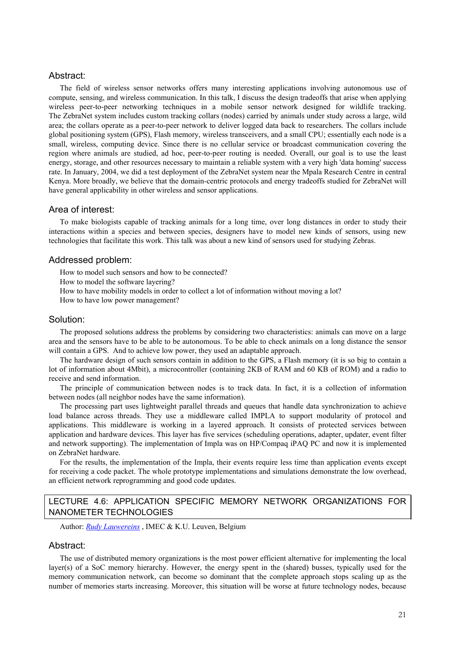## Abstract:

The field of wireless sensor networks offers many interesting applications involving autonomous use of compute, sensing, and wireless communication. In this talk, I discuss the design tradeoffs that arise when applying wireless peer-to-peer networking techniques in a mobile sensor network designed for wildlife tracking. The ZebraNet system includes custom tracking collars (nodes) carried by animals under study across a large, wild area; the collars operate as a peer-to-peer network to deliver logged data back to researchers. The collars include global positioning system (GPS), Flash memory, wireless transceivers, and a small CPU; essentially each node is a small, wireless, computing device. Since there is no cellular service or broadcast communication covering the region where animals are studied, ad hoc, peer-to-peer routing is needed. Overall, our goal is to use the least energy, storage, and other resources necessary to maintain a reliable system with a very high 'data homing' success rate. In January, 2004, we did a test deployment of the ZebraNet system near the Mpala Research Centre in central Kenya. More broadly, we believe that the domain-centric protocols and energy tradeoffs studied for ZebraNet will have general applicability in other wireless and sensor applications.

## Area of interest:

To make biologists capable of tracking animals for a long time, over long distances in order to study their interactions within a species and between species, designers have to model new kinds of sensors, using new technologies that facilitate this work. This talk was about a new kind of sensors used for studying Zebras.

## Addressed problem:

How to model such sensors and how to be connected?

How to model the software layering?

How to have mobility models in order to collect a lot of information without moving a lot?

How to have low power management?

## Solution:

The proposed solutions address the problems by considering two characteristics: animals can move on a large area and the sensors have to be able to be autonomous. To be able to check animals on a long distance the sensor will contain a GPS. And to achieve low power, they used an adaptable approach.

The hardware design of such sensors contain in addition to the GPS, a Flash memory (it is so big to contain a lot of information about 4Mbit), a microcontroller (containing 2KB of RAM and 60 KB of ROM) and a radio to receive and send information.

The principle of communication between nodes is to track data. In fact, it is a collection of information between nodes (all neighbor nodes have the same information).

The processing part uses lightweight parallel threads and queues that handle data synchronization to achieve load balance across threads. They use a middleware called IMPLA to support modularity of protocol and applications. This middleware is working in a layered approach. It consists of protected services between application and hardware devices. This layer has five services (scheduling operations, adapter, updater, event filter and network supporting). The implementation of Impla was on HP/Compaq iPAQ PC and now it is implemented on ZebraNet hardware.

For the results, the implementation of the Impla, their events require less time than application events except for receiving a code packet. The whole prototype implementations and simulations demonstrate the low overhead, an efficient network reprogramming and good code updates.

## LECTURE 4.6: APPLICATION SPECIFIC MEMORY NETWORK ORGANIZATIONS FOR NANOMETER TECHNOLOGIES

Author: *Rudy Lauwereins* , IMEC & K.U. Leuven, Belgium

## Abstract:

The use of distributed memory organizations is the most power efficient alternative for implementing the local layer(s) of a SoC memory hierarchy. However, the energy spent in the (shared) busses, typically used for the memory communication network, can become so dominant that the complete approach stops scaling up as the number of memories starts increasing. Moreover, this situation will be worse at future technology nodes, because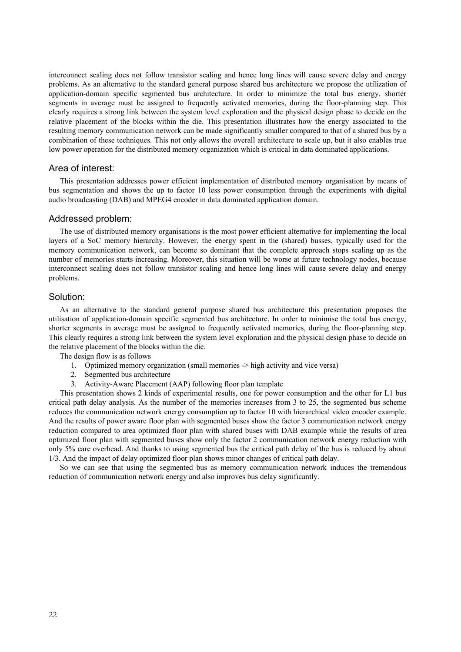interconnect scaling does not follow transistor scaling and hence long lines will cause severe delay and energy problems. As an alternative to the standard general purpose shared bus architecture we propose the utilization of application-domain specific segmented bus architecture. In order to minimize the total bus energy, shorter segments in average must be assigned to frequently activated memories, during the floor-planning step. This clearly requires a strong link between the system level exploration and the physical design phase to decide on the relative placement of the blocks within the die. This presentation illustrates how the energy associated to the resulting memory communication network can be made significantly smaller compared to that of a shared bus by a combination of these techniques. This not only allows the overall architecture to scale up, but it also enables true low power operation for the distributed memory organization which is critical in data dominated applications.

## Area of interest:

This presentation addresses power efficient implementation of distributed memory organisation by means of bus segmentation and shows the up to factor 10 less power consumption through the experiments with digital audio broadcasting (DAB) and MPEG4 encoder in data dominated application domain.

## Addressed problem:

The use of distributed memory organisations is the most power efficient alternative for implementing the local layers of a SoC memory hierarchy. However, the energy spent in the (shared) busses, typically used for the memory communication network, can become so dominant that the complete approach stops scaling up as the number of memories starts increasing. Moreover, this situation will be worse at future technology nodes, because interconnect scaling does not follow transistor scaling and hence long lines will cause severe delay and energy problems.

#### Solution:

As an alternative to the standard general purpose shared bus architecture this presentation proposes the utilisation of application-domain specific segmented bus architecture. In order to minimise the total bus energy, shorter segments in average must be assigned to frequently activated memories, during the floor-planning step. This clearly requires a strong link between the system level exploration and the physical design phase to decide on the relative placement of the blocks within the die.

The design flow is as follows

- 1. Optimized memory organization (small memories -> high activity and vice versa)
- 2. Segmented bus architecture
- 3. Activity-Aware Placement (AAP) following floor plan template

This presentation shows 2 kinds of experimental results, one for power consumption and the other for L1 bus critical path delay analysis. As the number of the memories increases from 3 to 25, the segmented bus scheme reduces the communication network energy consumption up to factor 10 with hierarchical video encoder example. And the results of power aware floor plan with segmented buses show the factor 3 communication network energy reduction compared to area optimized floor plan with shared buses with DAB example while the results of area optimized floor plan with segmented buses show only the factor 2 communication network energy reduction with only 5% care overhead. And thanks to using segmented bus the critical path delay of the bus is reduced by about 1/3. And the impact of delay optimized floor plan shows minor changes of critical path delay.

So we can see that using the segmented bus as memory communication network induces the tremendous reduction of communication network energy and also improves bus delay significantly.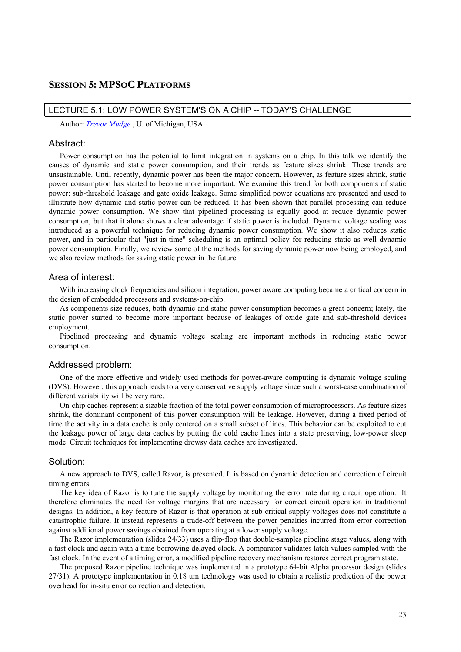## LECTURE 5.1: LOW POWER SYSTEM'S ON A CHIP -- TODAY'S CHALLENGE

Author: *Trevor Mudge* , U. of Michigan, USA

#### Abstract:

Power consumption has the potential to limit integration in systems on a chip. In this talk we identify the causes of dynamic and static power consumption, and their trends as feature sizes shrink. These trends are unsustainable. Until recently, dynamic power has been the major concern. However, as feature sizes shrink, static power consumption has started to become more important. We examine this trend for both components of static power: sub-threshold leakage and gate oxide leakage. Some simplified power equations are presented and used to illustrate how dynamic and static power can be reduced. It has been shown that parallel processing can reduce dynamic power consumption. We show that pipelined processing is equally good at reduce dynamic power consumption, but that it alone shows a clear advantage if static power is included. Dynamic voltage scaling was introduced as a powerful technique for reducing dynamic power consumption. We show it also reduces static power, and in particular that "just-in-time" scheduling is an optimal policy for reducing static as well dynamic power consumption. Finally, we review some of the methods for saving dynamic power now being employed, and we also review methods for saving static power in the future.

## Area of interest:

With increasing clock frequencies and silicon integration, power aware computing became a critical concern in the design of embedded processors and systems-on-chip.

As components size reduces, both dynamic and static power consumption becomes a great concern; lately, the static power started to become more important because of leakages of oxide gate and sub-threshold devices employment.

Pipelined processing and dynamic voltage scaling are important methods in reducing static power consumption.

#### Addressed problem:

One of the more effective and widely used methods for power-aware computing is dynamic voltage scaling (DVS). However, this approach leads to a very conservative supply voltage since such a worst-case combination of different variability will be very rare.

On-chip caches represent a sizable fraction of the total power consumption of microprocessors. As feature sizes shrink, the dominant component of this power consumption will be leakage. However, during a fixed period of time the activity in a data cache is only centered on a small subset of lines. This behavior can be exploited to cut the leakage power of large data caches by putting the cold cache lines into a state preserving, low-power sleep mode. Circuit techniques for implementing drowsy data caches are investigated.

#### Solution:

A new approach to DVS, called Razor, is presented. It is based on dynamic detection and correction of circuit timing errors.

The key idea of Razor is to tune the supply voltage by monitoring the error rate during circuit operation. It therefore eliminates the need for voltage margins that are necessary for correct circuit operation in traditional designs. In addition, a key feature of Razor is that operation at sub-critical supply voltages does not constitute a catastrophic failure. It instead represents a trade-off between the power penalties incurred from error correction against additional power savings obtained from operating at a lower supply voltage.

The Razor implementation (slides 24/33) uses a flip-flop that double-samples pipeline stage values, along with a fast clock and again with a time-borrowing delayed clock. A comparator validates latch values sampled with the fast clock. In the event of a timing error, a modified pipeline recovery mechanism restores correct program state.

The proposed Razor pipeline technique was implemented in a prototype 64-bit Alpha processor design (slides 27/31). A prototype implementation in 0.18 um technology was used to obtain a realistic prediction of the power overhead for in-situ error correction and detection.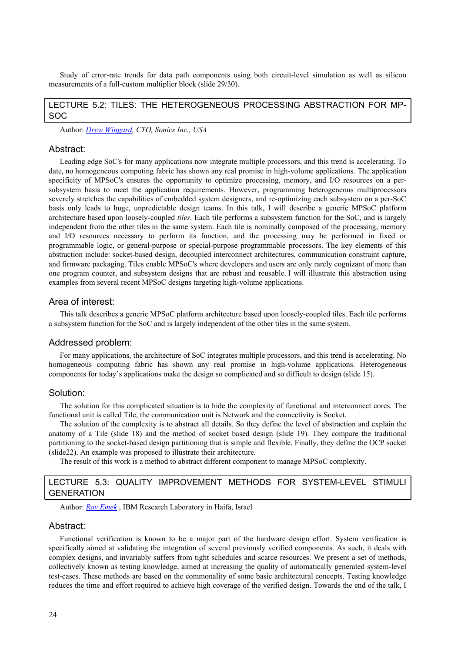Study of error-rate trends for data path components using both circuit-level simulation as well as silicon measurements of a full-custom multiplier block (slide 29/30).

## LECTURE 5.2: TILES: THE HETEROGENEOUS PROCESSING ABSTRACTION FOR MP-SOC

Author: *Drew Wingard, CTO, Sonics Inc., USA*

#### Abstract:

Leading edge SoC's for many applications now integrate multiple processors, and this trend is accelerating. To date, no homogeneous computing fabric has shown any real promise in high-volume applications. The application specificity of MPSoC's ensures the opportunity to optimize processing, memory, and I/O resources on a persubsystem basis to meet the application requirements. However, programming heterogeneous multiprocessors severely stretches the capabilities of embedded system designers, and re-optimizing each subsystem on a per-SoC basis only leads to huge, unpredictable design teams. In this talk, I will describe a generic MPSoC platform architecture based upon loosely-coupled *tiles*. Each tile performs a subsystem function for the SoC, and is largely independent from the other tiles in the same system. Each tile is nominally composed of the processing, memory and I/O resources necessary to perform its function, and the processing may be performed in fixed or programmable logic, or general-purpose or special-purpose programmable processors. The key elements of this abstraction include: socket-based design, decoupled interconnect architectures, communication constraint capture, and firmware packaging. Tiles enable MPSoC's where developers and users are only rarely cognizant of more than one program counter, and subsystem designs that are robust and reusable. I will illustrate this abstraction using examples from several recent MPSoC designs targeting high-volume applications.

## Area of interest:

This talk describes a generic MPSoC platform architecture based upon loosely-coupled tiles. Each tile performs a subsystem function for the SoC and is largely independent of the other tiles in the same system.

#### Addressed problem:

For many applications, the architecture of SoC integrates multiple processors, and this trend is accelerating. No homogeneous computing fabric has shown any real promise in high-volume applications. Heterogeneous components for today's applications make the design so complicated and so difficult to design (slide 15).

## Solution:

The solution for this complicated situation is to hide the complexity of functional and interconnect cores. The functional unit is called Tile, the communication unit is Network and the connectivity is Socket.

The solution of the complexity is to abstract all details. So they define the level of abstraction and explain the anatomy of a Tile (slide 18) and the method of socket based design (slide 19). They compare the traditional partitioning to the socket-based design partitioning that is simple and flexible. Finally, they define the OCP socket (slide22). An example was proposed to illustrate their architecture.

The result of this work is a method to abstract different component to manage MPSoC complexity.

## LECTURE 5.3: QUALITY IMPROVEMENT METHODS FOR SYSTEM-LEVEL STIMULI GENERATION

Author: *Roy Emek* , IBM Research Laboratory in Haifa, Israel

## Abstract:

Functional verification is known to be a major part of the hardware design effort. System verification is specifically aimed at validating the integration of several previously verified components. As such, it deals with complex designs, and invariably suffers from tight schedules and scarce resources. We present a set of methods, collectively known as testing knowledge, aimed at increasing the quality of automatically generated system-level test-cases. These methods are based on the commonality of some basic architectural concepts. Testing knowledge reduces the time and effort required to achieve high coverage of the verified design. Towards the end of the talk, I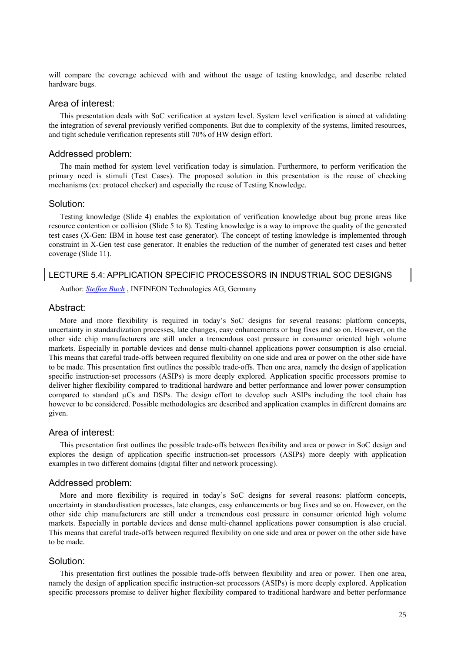will compare the coverage achieved with and without the usage of testing knowledge, and describe related hardware bugs.

## Area of interest:

This presentation deals with SoC verification at system level. System level verification is aimed at validating the integration of several previously verified components. But due to complexity of the systems, limited resources, and tight schedule verification represents still 70% of HW design effort.

## Addressed problem:

The main method for system level verification today is simulation. Furthermore, to perform verification the primary need is stimuli (Test Cases). The proposed solution in this presentation is the reuse of checking mechanisms (ex: protocol checker) and especially the reuse of Testing Knowledge.

#### Solution:

Testing knowledge (Slide 4) enables the exploitation of verification knowledge about bug prone areas like resource contention or collision (Slide 5 to 8). Testing knowledge is a way to improve the quality of the generated test cases (X-Gen: IBM in house test case generator). The concept of testing knowledge is implemented through constraint in X-Gen test case generator. It enables the reduction of the number of generated test cases and better coverage (Slide 11).

## LECTURE 5.4: APPLICATION SPECIFIC PROCESSORS IN INDUSTRIAL SOC DESIGNS

Author: *Steffen Buch* , INFINEON Technologies AG, Germany

#### Abstract:

More and more flexibility is required in today's SoC designs for several reasons: platform concepts, uncertainty in standardization processes, late changes, easy enhancements or bug fixes and so on. However, on the other side chip manufacturers are still under a tremendous cost pressure in consumer oriented high volume markets. Especially in portable devices and dense multi-channel applications power consumption is also crucial. This means that careful trade-offs between required flexibility on one side and area or power on the other side have to be made. This presentation first outlines the possible trade-offs. Then one area, namely the design of application specific instruction-set processors (ASIPs) is more deeply explored. Application specific processors promise to deliver higher flexibility compared to traditional hardware and better performance and lower power consumption compared to standard µCs and DSPs. The design effort to develop such ASIPs including the tool chain has however to be considered. Possible methodologies are described and application examples in different domains are given.

## Area of interest:

This presentation first outlines the possible trade-offs between flexibility and area or power in SoC design and explores the design of application specific instruction-set processors (ASIPs) more deeply with application examples in two different domains (digital filter and network processing).

## Addressed problem:

More and more flexibility is required in today's SoC designs for several reasons: platform concepts, uncertainty in standardisation processes, late changes, easy enhancements or bug fixes and so on. However, on the other side chip manufacturers are still under a tremendous cost pressure in consumer oriented high volume markets. Especially in portable devices and dense multi-channel applications power consumption is also crucial. This means that careful trade-offs between required flexibility on one side and area or power on the other side have to be made.

## Solution:

This presentation first outlines the possible trade-offs between flexibility and area or power. Then one area, namely the design of application specific instruction-set processors (ASIPs) is more deeply explored. Application specific processors promise to deliver higher flexibility compared to traditional hardware and better performance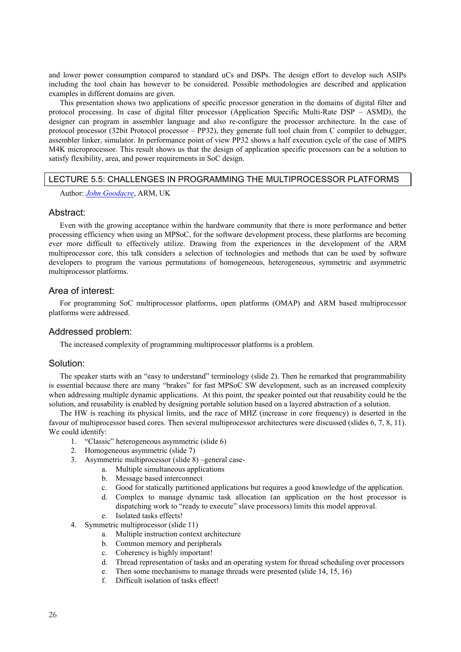and lower power consumption compared to standard uCs and DSPs. The design effort to develop such ASIPs including the tool chain has however to be considered. Possible methodologies are described and application examples in different domains are given.

This presentation shows two applications of specific processor generation in the domains of digital filter and protocol processing. In case of digital filter processor (Application Specific Multi-Rate DSP – ASMD), the designer can program in assembler language and also re-configure the processor architecture. In the case of protocol processor (32bit Protocol processor – PP32), they generate full tool chain from C compiler to debugger, assembler linker, simulator. In performance point of view PP32 shows a half execution cycle of the case of MIPS M4K microprocessor. This result shows us that the design of application specific processors can be a solution to satisfy flexibility, area, and power requirements in SoC design.

## LECTURE 5.5: CHALLENGES IN PROGRAMMING THE MULTIPROCESSOR PLATFORMS

Author: *John Goodacre*, ARM, UK

## Abstract:

Even with the growing acceptance within the hardware community that there is more performance and better processing efficiency when using an MPSoC, for the software development process, these platforms are becoming ever more difficult to effectively utilize. Drawing from the experiences in the development of the ARM multiprocessor core, this talk considers a selection of technologies and methods that can be used by software developers to program the various permutations of homogeneous, heterogeneous, symmetric and asymmetric multiprocessor platforms.

## Area of interest:

For programming SoC multiprocessor platforms, open platforms (OMAP) and ARM based multiprocessor platforms were addressed.

## Addressed problem:

The increased complexity of programming multiprocessor platforms is a problem.

## Solution:

The speaker starts with an "easy to understand" terminology (slide 2). Then he remarked that programmability is essential because there are many "brakes" for fast MPSoC SW development, such as an increased complexity when addressing multiple dynamic applications. At this point, the speaker pointed out that reusability could be the solution, and reusability is enabled by designing portable solution based on a layered abstraction of a solution.

The HW is reaching its physical limits, and the race of MHZ (increase in core frequency) is deserted in the favour of multiprocessor based cores. Then several multiprocessor architectures were discussed (slides 6, 7, 8, 11). We could identify:

- 1. "Classic" heterogeneous asymmetric (slide 6)
- 2. Homogeneous asymmetric (slide 7)
- 3. Asymmetric multiprocessor (slide 8) –general case
	- a. Multiple simultaneous applications
		- b. Message based interconnect
		- c. Good for statically partitioned applications but requires a good knowledge of the application.
		- d. Complex to manage dynamic task allocation (an application on the host processor is dispatching work to "ready to execute" slave processors) limits this model approval. e. Isolated tasks effects!
	-
- 4. Symmetric multiprocessor (slide 11)
	- a. Multiple instruction context architecture
	- b. Common memory and peripherals
	- c. Coherency is highly important!
	- d. Thread representation of tasks and an operating system for thread scheduling over processors
	- e. Then some mechanisms to manage threads were presented (slide 14, 15, 16)
	- f. Difficult isolation of tasks effect!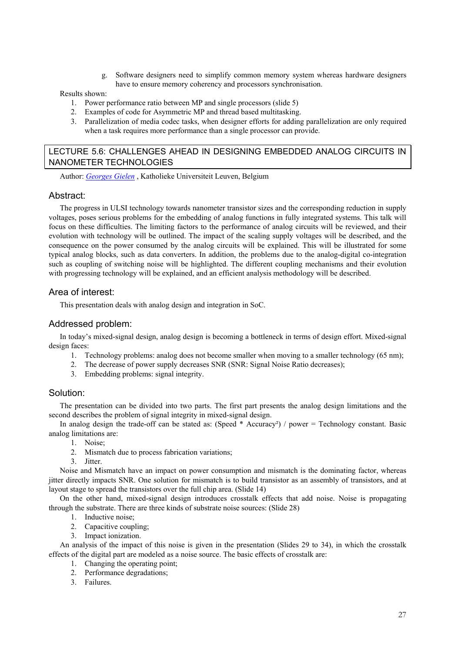g. Software designers need to simplify common memory system whereas hardware designers have to ensure memory coherency and processors synchronisation.

## Results shown:

- 1. Power performance ratio between MP and single processors (slide 5)
- 2. Examples of code for Asymmetric MP and thread based multitasking.
- 3. Parallelization of media codec tasks, when designer efforts for adding parallelization are only required when a task requires more performance than a single processor can provide.

## LECTURE 5.6: CHALLENGES AHEAD IN DESIGNING EMBEDDED ANALOG CIRCUITS IN NANOMETER TECHNOLOGIES

Author: *Georges Gielen* , Katholieke Universiteit Leuven, Belgium

## Abstract:

The progress in ULSI technology towards nanometer transistor sizes and the corresponding reduction in supply voltages, poses serious problems for the embedding of analog functions in fully integrated systems. This talk will focus on these difficulties. The limiting factors to the performance of analog circuits will be reviewed, and their evolution with technology will be outlined. The impact of the scaling supply voltages will be described, and the consequence on the power consumed by the analog circuits will be explained. This will be illustrated for some typical analog blocks, such as data converters. In addition, the problems due to the analog-digital co-integration such as coupling of switching noise will be highlighted. The different coupling mechanisms and their evolution with progressing technology will be explained, and an efficient analysis methodology will be described.

## Area of interest:

This presentation deals with analog design and integration in SoC.

## Addressed problem:

In today's mixed-signal design, analog design is becoming a bottleneck in terms of design effort. Mixed-signal design faces:

- 1. Technology problems: analog does not become smaller when moving to a smaller technology (65 nm);
- 2. The decrease of power supply decreases SNR (SNR: Signal Noise Ratio decreases);
- 3. Embedding problems: signal integrity.

## Solution:

The presentation can be divided into two parts. The first part presents the analog design limitations and the second describes the problem of signal integrity in mixed-signal design.

In analog design the trade-off can be stated as: (Speed  $*$  Accuracy<sup>2</sup>) / power = Technology constant. Basic analog limitations are:

- 1. Noise;
- 2. Mismatch due to process fabrication variations;
- 3. Jitter.

Noise and Mismatch have an impact on power consumption and mismatch is the dominating factor, whereas jitter directly impacts SNR. One solution for mismatch is to build transistor as an assembly of transistors, and at layout stage to spread the transistors over the full chip area. (Slide 14)

On the other hand, mixed-signal design introduces crosstalk effects that add noise. Noise is propagating through the substrate. There are three kinds of substrate noise sources: (Slide 28)

- 1. Inductive noise;
- 2. Capacitive coupling;
- 3. Impact ionization.

An analysis of the impact of this noise is given in the presentation (Slides 29 to 34), in which the crosstalk effects of the digital part are modeled as a noise source. The basic effects of crosstalk are:

- 1. Changing the operating point;
- 2. Performance degradations;
- 3. Failures.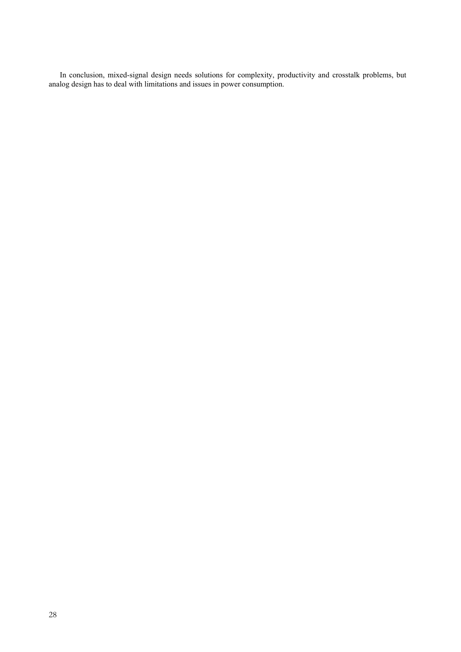In conclusion, mixed-signal design needs solutions for complexity, productivity and crosstalk problems, but analog design has to deal with limitations and issues in power consumption.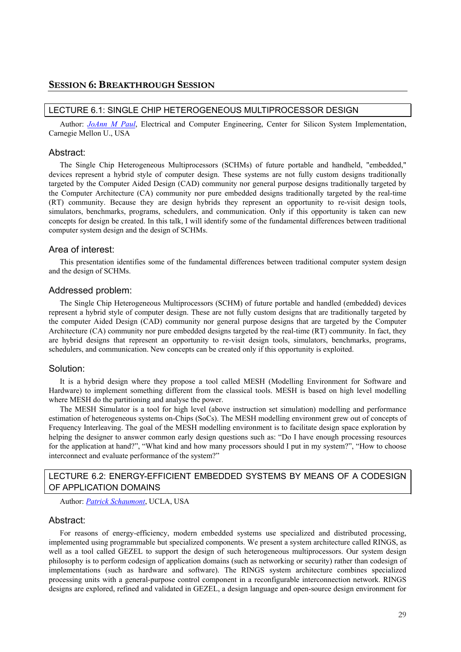## LECTURE 6.1: SINGLE CHIP HETEROGENEOUS MULTIPROCESSOR DESIGN

Author: *JoAnn M Paul*, Electrical and Computer Engineering, Center for Silicon System Implementation, Carnegie Mellon U., USA

#### Abstract:

The Single Chip Heterogeneous Multiprocessors (SCHMs) of future portable and handheld, "embedded," devices represent a hybrid style of computer design. These systems are not fully custom designs traditionally targeted by the Computer Aided Design (CAD) community nor general purpose designs traditionally targeted by the Computer Architecture (CA) community nor pure embedded designs traditionally targeted by the real-time (RT) community. Because they are design hybrids they represent an opportunity to re-visit design tools, simulators, benchmarks, programs, schedulers, and communication. Only if this opportunity is taken can new concepts for design be created. In this talk, I will identify some of the fundamental differences between traditional computer system design and the design of SCHMs.

## Area of interest:

This presentation identifies some of the fundamental differences between traditional computer system design and the design of SCHMs.

#### Addressed problem:

The Single Chip Heterogeneous Multiprocessors (SCHM) of future portable and handled (embedded) devices represent a hybrid style of computer design. These are not fully custom designs that are traditionally targeted by the computer Aided Design (CAD) community nor general purpose designs that are targeted by the Computer Architecture (CA) community nor pure embedded designs targeted by the real-time (RT) community. In fact, they are hybrid designs that represent an opportunity to re-visit design tools, simulators, benchmarks, programs, schedulers, and communication. New concepts can be created only if this opportunity is exploited.

## Solution:

It is a hybrid design where they propose a tool called MESH (Modelling Environment for Software and Hardware) to implement something different from the classical tools. MESH is based on high level modelling where MESH do the partitioning and analyse the power.

The MESH Simulator is a tool for high level (above instruction set simulation) modelling and performance estimation of heterogeneous systems on-Chips (SoCs). The MESH modelling environment grew out of concepts of Frequency Interleaving. The goal of the MESH modelling environment is to facilitate design space exploration by helping the designer to answer common early design questions such as: "Do I have enough processing resources for the application at hand?", "What kind and how many processors should I put in my system?", "How to choose interconnect and evaluate performance of the system?"

## LECTURE 6.2: ENERGY-EFFICIENT EMBEDDED SYSTEMS BY MEANS OF A CODESIGN OF APPLICATION DOMAINS

Author: *Patrick Schaumont*, UCLA, USA

## Abstract:

For reasons of energy-efficiency, modern embedded systems use specialized and distributed processing, implemented using programmable but specialized components. We present a system architecture called RINGS, as well as a tool called GEZEL to support the design of such heterogeneous multiprocessors. Our system design philosophy is to perform codesign of application domains (such as networking or security) rather than codesign of implementations (such as hardware and software). The RINGS system architecture combines specialized processing units with a general-purpose control component in a reconfigurable interconnection network. RINGS designs are explored, refined and validated in GEZEL, a design language and open-source design environment for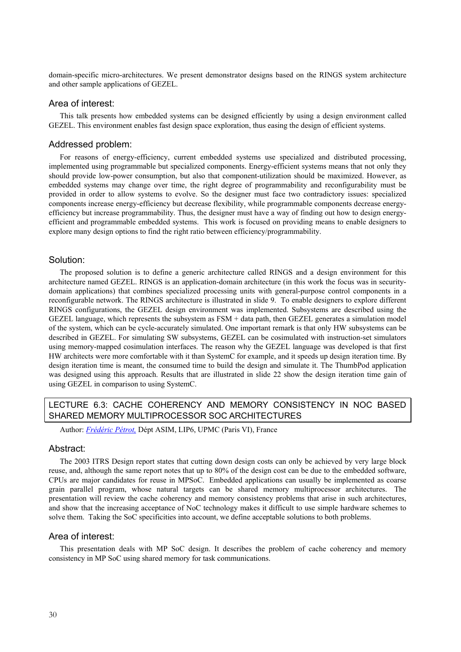domain-specific micro-architectures. We present demonstrator designs based on the RINGS system architecture and other sample applications of GEZEL.

## Area of interest:

This talk presents how embedded systems can be designed efficiently by using a design environment called GEZEL. This environment enables fast design space exploration, thus easing the design of efficient systems.

## Addressed problem:

For reasons of energy-efficiency, current embedded systems use specialized and distributed processing, implemented using programmable but specialized components. Energy-efficient systems means that not only they should provide low-power consumption, but also that component-utilization should be maximized. However, as embedded systems may change over time, the right degree of programmability and reconfigurability must be provided in order to allow systems to evolve. So the designer must face two contradictory issues: specialized components increase energy-efficiency but decrease flexibility, while programmable components decrease energyefficiency but increase programmability. Thus, the designer must have a way of finding out how to design energyefficient and programmable embedded systems. This work is focused on providing means to enable designers to explore many design options to find the right ratio between efficiency/programmability.

## Solution:

The proposed solution is to define a generic architecture called RINGS and a design environment for this architecture named GEZEL. RINGS is an application-domain architecture (in this work the focus was in securitydomain applications) that combines specialized processing units with general-purpose control components in a reconfigurable network. The RINGS architecture is illustrated in slide 9. To enable designers to explore different RINGS configurations, the GEZEL design environment was implemented. Subsystems are described using the GEZEL language, which represents the subsystem as FSM + data path, then GEZEL generates a simulation model of the system, which can be cycle-accurately simulated. One important remark is that only HW subsystems can be described in GEZEL. For simulating SW subsystems, GEZEL can be cosimulated with instruction-set simulators using memory-mapped cosimulation interfaces. The reason why the GEZEL language was developed is that first HW architects were more comfortable with it than SystemC for example, and it speeds up design iteration time. By design iteration time is meant, the consumed time to build the design and simulate it. The ThumbPod application was designed using this approach. Results that are illustrated in slide 22 show the design iteration time gain of using GEZEL in comparison to using SystemC.

## LECTURE 6.3: CACHE COHERENCY AND MEMORY CONSISTENCY IN NOC BASED SHARED MEMORY MULTIPROCESSOR SOC ARCHITECTURES

Author: *Frédéric Pétrot,* Dépt ASIM, LIP6, UPMC (Paris VI), France

## Abstract:

The 2003 ITRS Design report states that cutting down design costs can only be achieved by very large block reuse, and, although the same report notes that up to 80% of the design cost can be due to the embedded software, CPUs are major candidates for reuse in MPSoC. Embedded applications can usually be implemented as coarse grain parallel program, whose natural targets can be shared memory multiprocessor architectures. The presentation will review the cache coherency and memory consistency problems that arise in such architectures, and show that the increasing acceptance of NoC technology makes it difficult to use simple hardware schemes to solve them. Taking the SoC specificities into account, we define acceptable solutions to both problems.

## Area of interest:

This presentation deals with MP SoC design. It describes the problem of cache coherency and memory consistency in MP SoC using shared memory for task communications.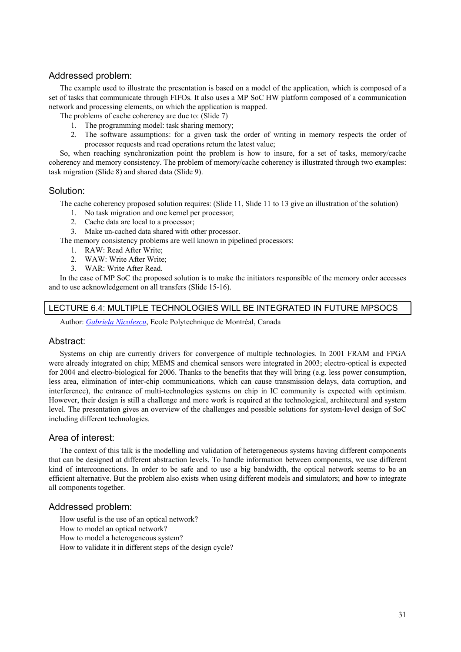## Addressed problem:

The example used to illustrate the presentation is based on a model of the application, which is composed of a set of tasks that communicate through FIFOs. It also uses a MP SoC HW platform composed of a communication network and processing elements, on which the application is mapped.

The problems of cache coherency are due to: (Slide 7)

- 1. The programming model: task sharing memory;
- 2. The software assumptions: for a given task the order of writing in memory respects the order of processor requests and read operations return the latest value;

So, when reaching synchronization point the problem is how to insure, for a set of tasks, memory/cache coherency and memory consistency. The problem of memory/cache coherency is illustrated through two examples: task migration (Slide 8) and shared data (Slide 9).

## Solution:

The cache coherency proposed solution requires: (Slide 11, Slide 11 to 13 give an illustration of the solution)

- 1. No task migration and one kernel per processor;
- 2. Cache data are local to a processor;
- 3. Make un-cached data shared with other processor.

The memory consistency problems are well known in pipelined processors:

- 1. RAW: Read After Write;
- 2. WAW: Write After Write;
- 3. WAR: Write After Read.

In the case of MP SoC the proposed solution is to make the initiators responsible of the memory order accesses and to use acknowledgement on all transfers (Slide 15-16).

## LECTURE 6.4: MULTIPLE TECHNOLOGIES WILL BE INTEGRATED IN FUTURE MPSOCS

Author: *Gabriela Nicolescu*, Ecole Polytechnique de Montréal, Canada

## Abstract:

Systems on chip are currently drivers for convergence of multiple technologies. In 2001 FRAM and FPGA were already integrated on chip; MEMS and chemical sensors were integrated in 2003; electro-optical is expected for 2004 and electro-biological for 2006. Thanks to the benefits that they will bring (e.g. less power consumption, less area, elimination of inter-chip communications, which can cause transmission delays, data corruption, and interference), the entrance of multi-technologies systems on chip in IC community is expected with optimism. However, their design is still a challenge and more work is required at the technological, architectural and system level. The presentation gives an overview of the challenges and possible solutions for system-level design of SoC including different technologies.

## Area of interest:

The context of this talk is the modelling and validation of heterogeneous systems having different components that can be designed at different abstraction levels. To handle information between components, we use different kind of interconnections. In order to be safe and to use a big bandwidth, the optical network seems to be an efficient alternative. But the problem also exists when using different models and simulators; and how to integrate all components together.

## Addressed problem:

How useful is the use of an optical network?

How to model an optical network?

How to model a heterogeneous system?

How to validate it in different steps of the design cycle?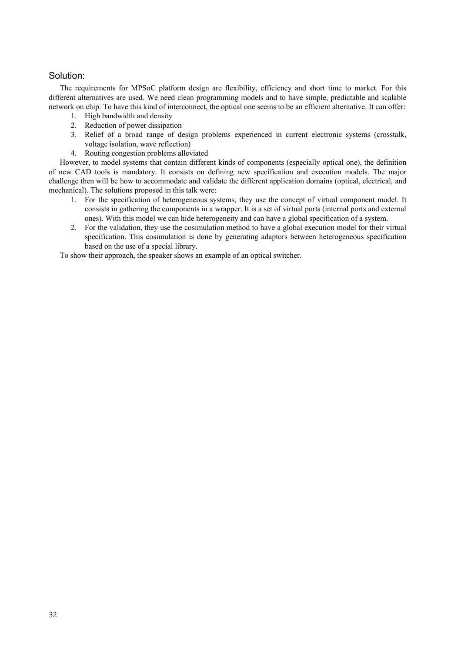## Solution:

The requirements for MPSoC platform design are flexibility, efficiency and short time to market. For this different alternatives are used. We need clean programming models and to have simple, predictable and scalable network on chip. To have this kind of interconnect, the optical one seems to be an efficient alternative. It can offer:

- 1. High bandwidth and density
- 2. Reduction of power dissipation
- 3. Relief of a broad range of design problems experienced in current electronic systems (crosstalk, voltage isolation, wave reflection)
- 4. Routing congestion problems alleviated

However, to model systems that contain different kinds of components (especially optical one), the definition of new CAD tools is mandatory. It consists on defining new specification and execution models. The major challenge then will be how to accommodate and validate the different application domains (optical, electrical, and mechanical). The solutions proposed in this talk were:

- 1. For the specification of heterogeneous systems, they use the concept of virtual component model. It consists in gathering the components in a wrapper. It is a set of virtual ports (internal ports and external ones). With this model we can hide heterogeneity and can have a global specification of a system.
- 2. For the validation, they use the cosimulation method to have a global execution model for their virtual specification. This cosimulation is done by generating adaptors between heterogeneous specification based on the use of a special library.

To show their approach, the speaker shows an example of an optical switcher.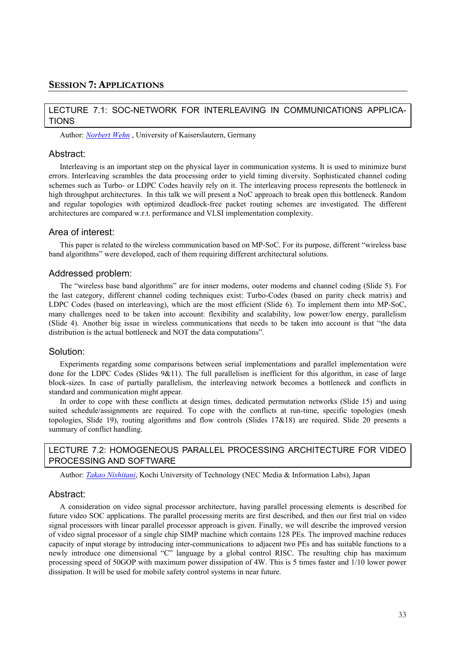## LECTURE 7.1: SOC-NETWORK FOR INTERLEAVING IN COMMUNICATIONS APPLICA-TIONS

Author: *Norbert Wehn* , University of Kaiserslautern, Germany

#### Abstract:

Interleaving is an important step on the physical layer in communication systems. It is used to minimize burst errors. Interleaving scrambles the data processing order to yield timing diversity. Sophisticated channel coding schemes such as Turbo- or LDPC Codes heavily rely on it. The interleaving process represents the bottleneck in high throughput architectures. In this talk we will present a NoC approach to break open this bottleneck. Random and regular topologies with optimized deadlock-free packet routing schemes are investigated. The different architectures are compared w.r.t. performance and VLSI implementation complexity.

## Area of interest:

This paper is related to the wireless communication based on MP-SoC. For its purpose, different "wireless base band algorithms" were developed, each of them requiring different architectural solutions.

#### Addressed problem:

The "wireless base band algorithms" are for inner modems, outer modems and channel coding (Slide 5). For the last category, different channel coding techniques exist: Turbo-Codes (based on parity check matrix) and LDPC Codes (based on interleaving), which are the most efficient (Slide 6). To implement them into MP-SoC, many challenges need to be taken into account: flexibility and scalability, low power/low energy, parallelism (Slide 4). Another big issue in wireless communications that needs to be taken into account is that "the data distribution is the actual bottleneck and NOT the data computations".

## Solution:

Experiments regarding some comparisons between serial implementations and parallel implementation were done for the LDPC Codes (Slides 9&11). The full parallelism is inefficient for this algorithm, in case of large block-sizes. In case of partially parallelism, the interleaving network becomes a bottleneck and conflicts in standard and communication might appear.

In order to cope with these conflicts at design times, dedicated permutation networks (Slide 15) and using suited schedule/assignments are required. To cope with the conflicts at run-time, specific topologies (mesh topologies, Slide 19), routing algorithms and flow controls (Slides 17&18) are required. Slide 20 presents a summary of conflict handling.

## LECTURE 7.2: HOMOGENEOUS PARALLEL PROCESSING ARCHITECTURE FOR VIDEO PROCESSING AND SOFTWARE

Author: *Takao Nishitani*, Kochi University of Technology (NEC Media & Information Labs), Japan

#### Abstract:

A consideration on video signal processor architecture, having parallel processing elements is described for future video SOC applications. The parallel processing merits are first described, and then our first trial on video signal processors with linear parallel processor approach is given. Finally, we will describe the improved version of video signal processor of a single chip SIMP machine which contains 128 PEs. The improved machine reduces capacity of input storage by introducing inter-communications to adjacent two PEs and has suitable functions to a newly introduce one dimensional "C" language by a global control RISC. The resulting chip has maximum processing speed of 50GOP with maximum power dissipation of 4W. This is 5 times faster and 1/10 lower power dissipation. It will be used for mobile safety control systems in near future.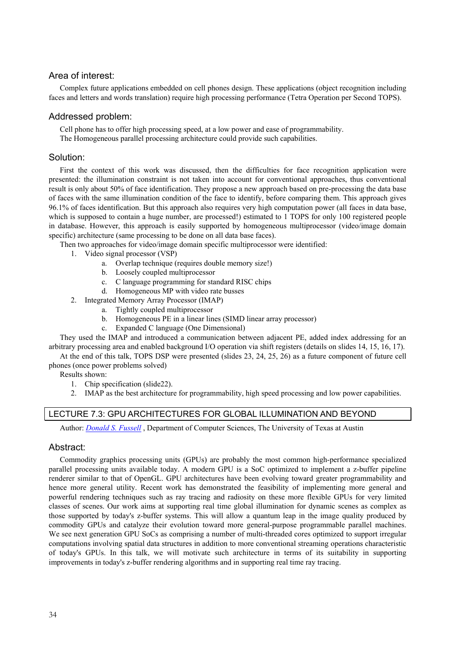## Area of interest:

Complex future applications embedded on cell phones design. These applications (object recognition including faces and letters and words translation) require high processing performance (Tetra Operation per Second TOPS).

## Addressed problem:

Cell phone has to offer high processing speed, at a low power and ease of programmability.

The Homogeneous parallel processing architecture could provide such capabilities.

## Solution:

First the context of this work was discussed, then the difficulties for face recognition application were presented: the illumination constraint is not taken into account for conventional approaches, thus conventional result is only about 50% of face identification. They propose a new approach based on pre-processing the data base of faces with the same illumination condition of the face to identify, before comparing them. This approach gives 96.1% of faces identification. But this approach also requires very high computation power (all faces in data base, which is supposed to contain a huge number, are processed!) estimated to 1 TOPS for only 100 registered people in database. However, this approach is easily supported by homogeneous multiprocessor (video/image domain specific) architecture (same processing to be done on all data base faces).

Then two approaches for video/image domain specific multiprocessor were identified:

- 1. Video signal processor (VSP)
	- a. Overlap technique (requires double memory size!)
	- b. Loosely coupled multiprocessor
	- c. C language programming for standard RISC chips
	- d. Homogeneous MP with video rate busses
- 2. Integrated Memory Array Processor (IMAP)
	- a. Tightly coupled multiprocessor
	- b. Homogeneous PE in a linear lines (SIMD linear array processor)
	- c. Expanded C language (One Dimensional)

They used the IMAP and introduced a communication between adjacent PE, added index addressing for an arbitrary processing area and enabled background I/O operation via shift registers (details on slides 14, 15, 16, 17).

At the end of this talk, TOPS DSP were presented (slides 23, 24, 25, 26) as a future component of future cell phones (once power problems solved)

Results shown:

- 1. Chip specification (slide22).
- 2. IMAP as the best architecture for programmability, high speed processing and low power capabilities.

## LECTURE 7.3: GPU ARCHITECTURES FOR GLOBAL ILLUMINATION AND BEYOND

Author: *Donald S. Fussell* , Department of Computer Sciences, The University of Texas at Austin

## Abstract:

Commodity graphics processing units (GPUs) are probably the most common high-performance specialized parallel processing units available today. A modern GPU is a SoC optimized to implement a z-buffer pipeline renderer similar to that of OpenGL. GPU architectures have been evolving toward greater programmability and hence more general utility. Recent work has demonstrated the feasibility of implementing more general and powerful rendering techniques such as ray tracing and radiosity on these more flexible GPUs for very limited classes of scenes. Our work aims at supporting real time global illumination for dynamic scenes as complex as those supported by today's z-buffer systems. This will allow a quantum leap in the image quality produced by commodity GPUs and catalyze their evolution toward more general-purpose programmable parallel machines. We see next generation GPU SoCs as comprising a number of multi-threaded cores optimized to support irregular computations involving spatial data structures in addition to more conventional streaming operations characteristic of today's GPUs. In this talk, we will motivate such architecture in terms of its suitability in supporting improvements in today's z-buffer rendering algorithms and in supporting real time ray tracing.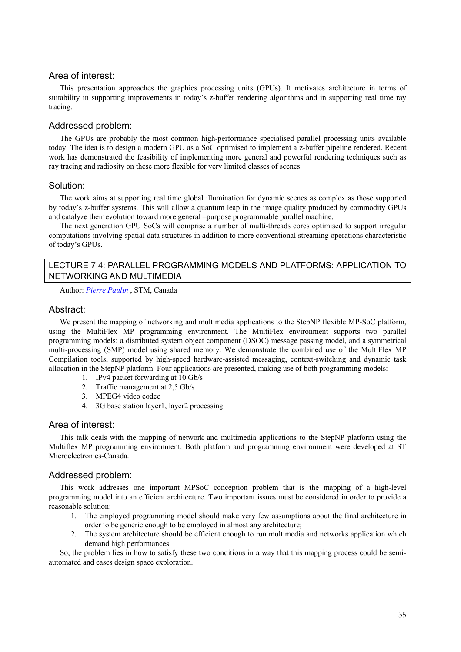## Area of interest:

This presentation approaches the graphics processing units (GPUs). It motivates architecture in terms of suitability in supporting improvements in today's z-buffer rendering algorithms and in supporting real time ray tracing.

## Addressed problem:

The GPUs are probably the most common high-performance specialised parallel processing units available today. The idea is to design a modern GPU as a SoC optimised to implement a z-buffer pipeline rendered. Recent work has demonstrated the feasibility of implementing more general and powerful rendering techniques such as ray tracing and radiosity on these more flexible for very limited classes of scenes.

## Solution:

The work aims at supporting real time global illumination for dynamic scenes as complex as those supported by today's z-buffer systems. This will allow a quantum leap in the image quality produced by commodity GPUs and catalyze their evolution toward more general –purpose programmable parallel machine.

The next generation GPU SoCs will comprise a number of multi-threads cores optimised to support irregular computations involving spatial data structures in addition to more conventional streaming operations characteristic of today's GPUs.

## LECTURE 7.4: PARALLEL PROGRAMMING MODELS AND PLATFORMS: APPLICATION TO NETWORKING AND MULTIMEDIA

Author: *Pierre Paulin* , STM, Canada

## Abstract:

We present the mapping of networking and multimedia applications to the StepNP flexible MP-SoC platform, using the MultiFlex MP programming environment. The MultiFlex environment supports two parallel programming models: a distributed system object component (DSOC) message passing model, and a symmetrical multi-processing (SMP) model using shared memory. We demonstrate the combined use of the MultiFlex MP Compilation tools, supported by high-speed hardware-assisted messaging, context-switching and dynamic task allocation in the StepNP platform. Four applications are presented, making use of both programming models:

- 1. IPv4 packet forwarding at 10 Gb/s
- 2. Traffic management at 2,5 Gb/s
- 3. MPEG4 video codec
- 4. 3G base station layer1, layer2 processing

## Area of interest:

This talk deals with the mapping of network and multimedia applications to the StepNP platform using the Multiflex MP programming environment. Both platform and programming environment were developed at ST Microelectronics-Canada.

## Addressed problem:

This work addresses one important MPSoC conception problem that is the mapping of a high-level programming model into an efficient architecture. Two important issues must be considered in order to provide a reasonable solution:

- 1. The employed programming model should make very few assumptions about the final architecture in order to be generic enough to be employed in almost any architecture;
- 2. The system architecture should be efficient enough to run multimedia and networks application which demand high performances.

So, the problem lies in how to satisfy these two conditions in a way that this mapping process could be semiautomated and eases design space exploration.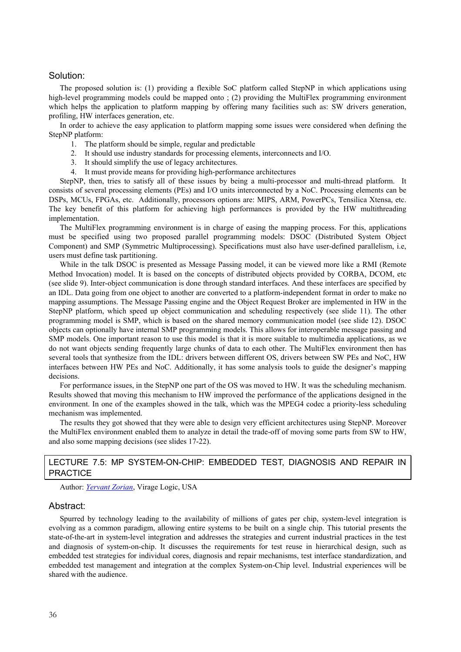## Solution:

The proposed solution is: (1) providing a flexible SoC platform called StepNP in which applications using high-level programming models could be mapped onto ; (2) providing the MultiFlex programming environment which helps the application to platform mapping by offering many facilities such as: SW drivers generation, profiling, HW interfaces generation, etc.

In order to achieve the easy application to platform mapping some issues were considered when defining the StepNP platform:

- 1. The platform should be simple, regular and predictable
- 2. It should use industry standards for processing elements, interconnects and I/O.
- 3. It should simplify the use of legacy architectures.
- 4. It must provide means for providing high-performance architectures

StepNP, then, tries to satisfy all of these issues by being a multi-processor and multi-thread platform. It consists of several processing elements (PEs) and I/O units interconnected by a NoC. Processing elements can be DSPs, MCUs, FPGAs, etc. Additionally, processors options are: MIPS, ARM, PowerPCs, Tensilica Xtensa, etc. The key benefit of this platform for achieving high performances is provided by the HW multithreading implementation.

The MultiFlex programming environment is in charge of easing the mapping process. For this, applications must be specified using two proposed parallel programming models: DSOC (Distributed System Object Component) and SMP (Symmetric Multiprocessing). Specifications must also have user-defined parallelism, i.e, users must define task partitioning.

While in the talk DSOC is presented as Message Passing model, it can be viewed more like a RMI (Remote Method Invocation) model. It is based on the concepts of distributed objects provided by CORBA, DCOM, etc (see slide 9). Inter-object communication is done through standard interfaces. And these interfaces are specified by an IDL. Data going from one object to another are converted to a platform-independent format in order to make no mapping assumptions. The Message Passing engine and the Object Request Broker are implemented in HW in the StepNP platform, which speed up object communication and scheduling respectively (see slide 11). The other programming model is SMP, which is based on the shared memory communication model (see slide 12). DSOC objects can optionally have internal SMP programming models. This allows for interoperable message passing and SMP models. One important reason to use this model is that it is more suitable to multimedia applications, as we do not want objects sending frequently large chunks of data to each other. The MultiFlex environment then has several tools that synthesize from the IDL: drivers between different OS, drivers between SW PEs and NoC, HW interfaces between HW PEs and NoC. Additionally, it has some analysis tools to guide the designer's mapping decisions.

For performance issues, in the StepNP one part of the OS was moved to HW. It was the scheduling mechanism. Results showed that moving this mechanism to HW improved the performance of the applications designed in the environment. In one of the examples showed in the talk, which was the MPEG4 codec a priority-less scheduling mechanism was implemented.

The results they got showed that they were able to design very efficient architectures using StepNP. Moreover the MultiFlex environment enabled them to analyze in detail the trade-off of moving some parts from SW to HW, and also some mapping decisions (see slides 17-22).

## LECTURE 7.5: MP SYSTEM-ON-CHIP: EMBEDDED TEST, DIAGNOSIS AND REPAIR IN **PRACTICE**

Author: *Yervant Zorian*, Virage Logic, USA

#### Abstract:

Spurred by technology leading to the availability of millions of gates per chip, system-level integration is evolving as a common paradigm, allowing entire systems to be built on a single chip. This tutorial presents the state-of-the-art in system-level integration and addresses the strategies and current industrial practices in the test and diagnosis of system-on-chip. It discusses the requirements for test reuse in hierarchical design, such as embedded test strategies for individual cores, diagnosis and repair mechanisms, test interface standardization, and embedded test management and integration at the complex System-on-Chip level. Industrial experiences will be shared with the audience.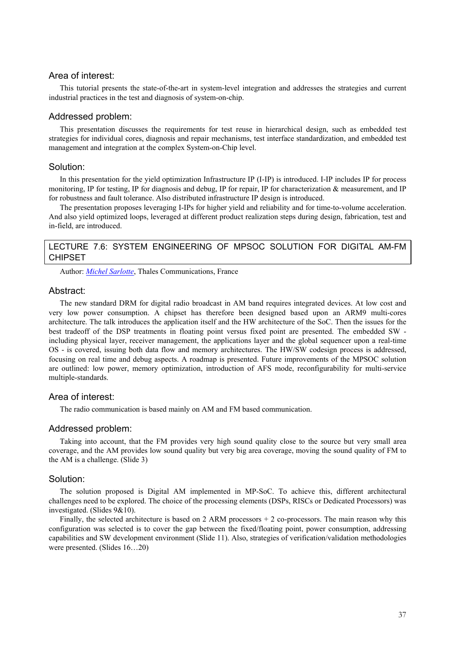## Area of interest:

This tutorial presents the state-of-the-art in system-level integration and addresses the strategies and current industrial practices in the test and diagnosis of system-on-chip.

## Addressed problem:

This presentation discusses the requirements for test reuse in hierarchical design, such as embedded test strategies for individual cores, diagnosis and repair mechanisms, test interface standardization, and embedded test management and integration at the complex System-on-Chip level.

#### Solution:

In this presentation for the yield optimization Infrastructure IP (I-IP) is introduced. I-IP includes IP for process monitoring, IP for testing, IP for diagnosis and debug, IP for repair, IP for characterization & measurement, and IP for robustness and fault tolerance. Also distributed infrastructure IP design is introduced.

The presentation proposes leveraging I-IPs for higher yield and reliability and for time-to-volume acceleration. And also yield optimized loops, leveraged at different product realization steps during design, fabrication, test and in-field, are introduced.

## LECTURE 7.6: SYSTEM ENGINEERING OF MPSOC SOLUTION FOR DIGITAL AM-FM CHIPSET

Author: *Michel Sarlotte*, Thales Communications, France

#### Abstract:

The new standard DRM for digital radio broadcast in AM band requires integrated devices. At low cost and very low power consumption. A chipset has therefore been designed based upon an ARM9 multi-cores architecture. The talk introduces the application itself and the HW architecture of the SoC. Then the issues for the best tradeoff of the DSP treatments in floating point versus fixed point are presented. The embedded SW including physical layer, receiver management, the applications layer and the global sequencer upon a real-time OS - is covered, issuing both data flow and memory architectures. The HW/SW codesign process is addressed, focusing on real time and debug aspects. A roadmap is presented. Future improvements of the MPSOC solution are outlined: low power, memory optimization, introduction of AFS mode, reconfigurability for multi-service multiple-standards.

## Area of interest:

The radio communication is based mainly on AM and FM based communication.

## Addressed problem:

Taking into account, that the FM provides very high sound quality close to the source but very small area coverage, and the AM provides low sound quality but very big area coverage, moving the sound quality of FM to the AM is a challenge. (Slide 3)

## Solution:

The solution proposed is Digital AM implemented in MP-SoC. To achieve this, different architectural challenges need to be explored. The choice of the processing elements (DSPs, RISCs or Dedicated Processors) was investigated. (Slides 9&10).

Finally, the selected architecture is based on 2 ARM processors  $+ 2$  co-processors. The main reason why this configuration was selected is to cover the gap between the fixed/floating point, power consumption, addressing capabilities and SW development environment (Slide 11). Also, strategies of verification/validation methodologies were presented. (Slides 16…20)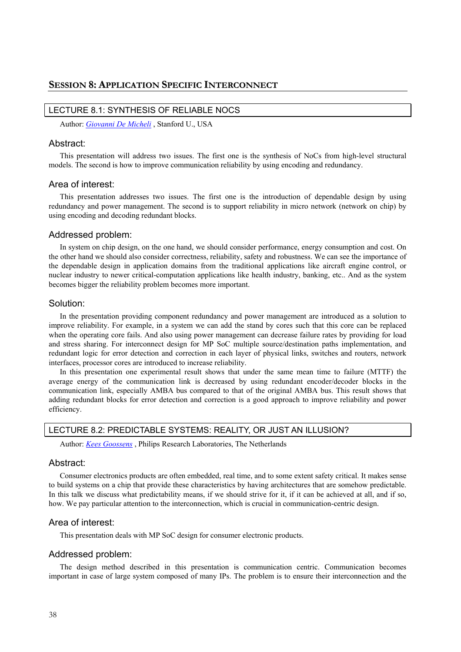#### LECTURE 8.1: SYNTHESIS OF RELIABLE NOCS

Author: *Giovanni De Micheli* , Stanford U., USA

#### Abstract:

This presentation will address two issues. The first one is the synthesis of NoCs from high-level structural models. The second is how to improve communication reliability by using encoding and redundancy.

## Area of interest:

This presentation addresses two issues. The first one is the introduction of dependable design by using redundancy and power management. The second is to support reliability in micro network (network on chip) by using encoding and decoding redundant blocks.

#### Addressed problem:

In system on chip design, on the one hand, we should consider performance, energy consumption and cost. On the other hand we should also consider correctness, reliability, safety and robustness. We can see the importance of the dependable design in application domains from the traditional applications like aircraft engine control, or nuclear industry to newer critical-computation applications like health industry, banking, etc.. And as the system becomes bigger the reliability problem becomes more important.

## Solution:

In the presentation providing component redundancy and power management are introduced as a solution to improve reliability. For example, in a system we can add the stand by cores such that this core can be replaced when the operating core fails. And also using power management can decrease failure rates by providing for load and stress sharing. For interconnect design for MP SoC multiple source/destination paths implementation, and redundant logic for error detection and correction in each layer of physical links, switches and routers, network interfaces, processor cores are introduced to increase reliability.

In this presentation one experimental result shows that under the same mean time to failure (MTTF) the average energy of the communication link is decreased by using redundant encoder/decoder blocks in the communication link, especially AMBA bus compared to that of the original AMBA bus. This result shows that adding redundant blocks for error detection and correction is a good approach to improve reliability and power efficiency.

#### LECTURE 8.2: PREDICTABLE SYSTEMS: REALITY, OR JUST AN ILLUSION?

Author: *Kees Goossens* , Philips Research Laboratories, The Netherlands

## Abstract:

Consumer electronics products are often embedded, real time, and to some extent safety critical. It makes sense to build systems on a chip that provide these characteristics by having architectures that are somehow predictable. In this talk we discuss what predictability means, if we should strive for it, if it can be achieved at all, and if so, how. We pay particular attention to the interconnection, which is crucial in communication-centric design.

## Area of interest:

This presentation deals with MP SoC design for consumer electronic products.

## Addressed problem:

The design method described in this presentation is communication centric. Communication becomes important in case of large system composed of many IPs. The problem is to ensure their interconnection and the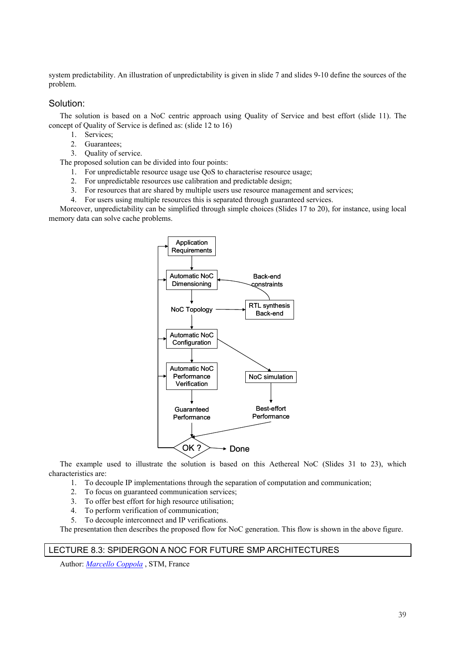system predictability. An illustration of unpredictability is given in slide 7 and slides 9-10 define the sources of the problem.

## Solution:

The solution is based on a NoC centric approach using Quality of Service and best effort (slide 11). The concept of Quality of Service is defined as: (slide 12 to 16)

- 1. Services;
- 2. Guarantees:
- 3. Quality of service.

The proposed solution can be divided into four points:

- 1. For unpredictable resource usage use QoS to characterise resource usage;
- 2. For unpredictable resources use calibration and predictable design;
- 3. For resources that are shared by multiple users use resource management and services;
- 4. For users using multiple resources this is separated through guaranteed services.

Moreover, unpredictability can be simplified through simple choices (Slides 17 to 20), for instance, using local memory data can solve cache problems.



The example used to illustrate the solution is based on this Aethereal NoC (Slides 31 to 23), which characteristics are:

- 1. To decouple IP implementations through the separation of computation and communication;
- 2. To focus on guaranteed communication services;
- 3. To offer best effort for high resource utilisation;
- 4. To perform verification of communication;
- 5. To decouple interconnect and IP verifications.

The presentation then describes the proposed flow for NoC generation. This flow is shown in the above figure.

## LECTURE 8.3: SPIDERGON A NOC FOR FUTURE SMP ARCHITECTURES

Author: *Marcello Coppola* , STM, France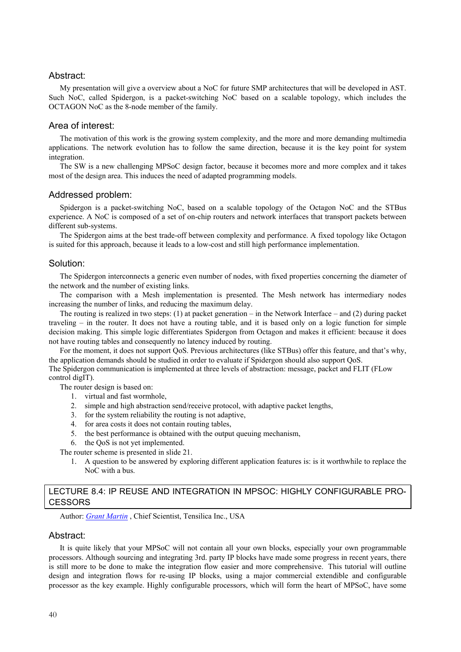## Abstract:

My presentation will give a overview about a NoC for future SMP architectures that will be developed in AST. Such NoC, called Spidergon, is a packet-switching NoC based on a scalable topology, which includes the OCTAGON NoC as the 8-node member of the family.

## Area of interest:

The motivation of this work is the growing system complexity, and the more and more demanding multimedia applications. The network evolution has to follow the same direction, because it is the key point for system integration.

The SW is a new challenging MPSoC design factor, because it becomes more and more complex and it takes most of the design area. This induces the need of adapted programming models.

#### Addressed problem:

Spidergon is a packet-switching NoC, based on a scalable topology of the Octagon NoC and the STBus experience. A NoC is composed of a set of on-chip routers and network interfaces that transport packets between different sub-systems.

The Spidergon aims at the best trade-off between complexity and performance. A fixed topology like Octagon is suited for this approach, because it leads to a low-cost and still high performance implementation.

#### Solution:

The Spidergon interconnects a generic even number of nodes, with fixed properties concerning the diameter of the network and the number of existing links.

The comparison with a Mesh implementation is presented. The Mesh network has intermediary nodes increasing the number of links, and reducing the maximum delay.

The routing is realized in two steps: (1) at packet generation – in the Network Interface – and (2) during packet traveling – in the router. It does not have a routing table, and it is based only on a logic function for simple decision making. This simple logic differentiates Spidergon from Octagon and makes it efficient: because it does not have routing tables and consequently no latency induced by routing.

For the moment, it does not support QoS. Previous architectures (like STBus) offer this feature, and that's why, the application demands should be studied in order to evaluate if Spidergon should also support QoS.

The Spidergon communication is implemented at three levels of abstraction: message, packet and FLIT (FLow control digIT).

The router design is based on:

- 1. virtual and fast wormhole,
- 2. simple and high abstraction send/receive protocol, with adaptive packet lengths,
- 3. for the system reliability the routing is not adaptive,
- 4. for area costs it does not contain routing tables,
- 5. the best performance is obtained with the output queuing mechanism,
- 6. the QoS is not yet implemented.

The router scheme is presented in slide 21.

1. A question to be answered by exploring different application features is: is it worthwhile to replace the NoC with a bus.

## LECTURE 8.4: IP REUSE AND INTEGRATION IN MPSOC: HIGHLY CONFIGURABLE PRO-**CESSORS**

Author: *Grant Martin* , Chief Scientist, Tensilica Inc., USA

#### Abstract:

It is quite likely that your MPSoC will not contain all your own blocks, especially your own programmable processors. Although sourcing and integrating 3rd. party IP blocks have made some progress in recent years, there is still more to be done to make the integration flow easier and more comprehensive. This tutorial will outline design and integration flows for re-using IP blocks, using a major commercial extendible and configurable processor as the key example. Highly configurable processors, which will form the heart of MPSoC, have some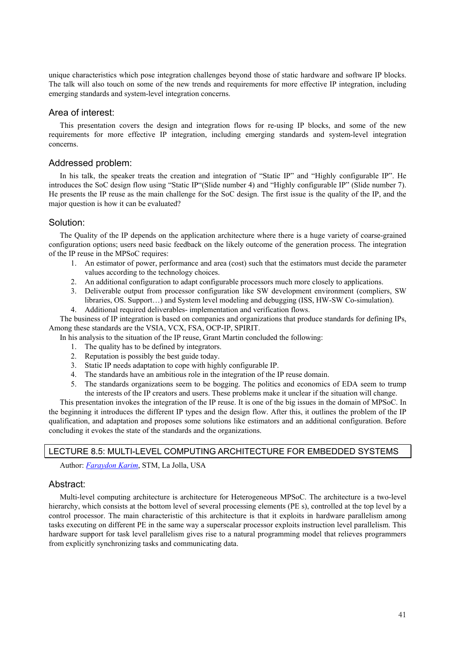unique characteristics which pose integration challenges beyond those of static hardware and software IP blocks. The talk will also touch on some of the new trends and requirements for more effective IP integration, including emerging standards and system-level integration concerns.

## Area of interest:

This presentation covers the design and integration flows for re-using IP blocks, and some of the new requirements for more effective IP integration, including emerging standards and system-level integration concerns.

## Addressed problem:

In his talk, the speaker treats the creation and integration of "Static IP" and "Highly configurable IP". He introduces the SoC design flow using "Static IP"(Slide number 4) and "Highly configurable IP" (Slide number 7). He presents the IP reuse as the main challenge for the SoC design. The first issue is the quality of the IP, and the major question is how it can be evaluated?

## Solution:

The Quality of the IP depends on the application architecture where there is a huge variety of coarse-grained configuration options; users need basic feedback on the likely outcome of the generation process. The integration of the IP reuse in the MPSoC requires:

- 1. An estimator of power, performance and area (cost) such that the estimators must decide the parameter values according to the technology choices.
- 2. An additional configuration to adapt configurable processors much more closely to applications.
- 3. Deliverable output from processor configuration like SW development environment (compliers, SW libraries, OS. Support…) and System level modeling and debugging (ISS, HW-SW Co-simulation).
- 4. Additional required deliverables- implementation and verification flows.

The business of IP integration is based on companies and organizations that produce standards for defining IPs, Among these standards are the VSIA, VCX, FSA, OCP-IP, SPIRIT.

- In his analysis to the situation of the IP reuse, Grant Martin concluded the following:
	- 1. The quality has to be defined by integrators.
	- 2. Reputation is possibly the best guide today.
	- 3. Static IP needs adaptation to cope with highly configurable IP.
	- 4. The standards have an ambitious role in the integration of the IP reuse domain.
	- 5. The standards organizations seem to be bogging. The politics and economics of EDA seem to trump the interests of the IP creators and users. These problems make it unclear if the situation will change.

This presentation invokes the integration of the IP reuse. It is one of the big issues in the domain of MPSoC. In the beginning it introduces the different IP types and the design flow. After this, it outlines the problem of the IP qualification, and adaptation and proposes some solutions like estimators and an additional configuration. Before concluding it evokes the state of the standards and the organizations.

## LECTURE 8.5: MULTI-LEVEL COMPUTING ARCHITECTURE FOR EMBEDDED SYSTEMS

Author: *Faraydon Karim*, STM, La Jolla, USA

## Abstract:

Multi-level computing architecture is architecture for Heterogeneous MPSoC. The architecture is a two-level hierarchy, which consists at the bottom level of several processing elements (PE s), controlled at the top level by a control processor. The main characteristic of this architecture is that it exploits in hardware parallelism among tasks executing on different PE in the same way a superscalar processor exploits instruction level parallelism. This hardware support for task level parallelism gives rise to a natural programming model that relieves programmers from explicitly synchronizing tasks and communicating data.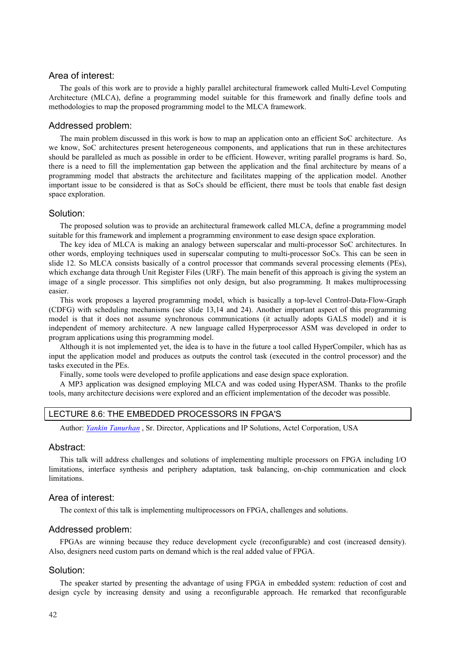## Area of interest:

The goals of this work are to provide a highly parallel architectural framework called Multi-Level Computing Architecture (MLCA), define a programming model suitable for this framework and finally define tools and methodologies to map the proposed programming model to the MLCA framework.

#### Addressed problem:

The main problem discussed in this work is how to map an application onto an efficient SoC architecture. As we know, SoC architectures present heterogeneous components, and applications that run in these architectures should be paralleled as much as possible in order to be efficient. However, writing parallel programs is hard. So, there is a need to fill the implementation gap between the application and the final architecture by means of a programming model that abstracts the architecture and facilitates mapping of the application model. Another important issue to be considered is that as SoCs should be efficient, there must be tools that enable fast design space exploration.

## Solution:

The proposed solution was to provide an architectural framework called MLCA, define a programming model suitable for this framework and implement a programming environment to ease design space exploration.

The key idea of MLCA is making an analogy between superscalar and multi-processor SoC architectures. In other words, employing techniques used in superscalar computing to multi-processor SoCs. This can be seen in slide 12. So MLCA consists basically of a control processor that commands several processing elements (PEs), which exchange data through Unit Register Files (URF). The main benefit of this approach is giving the system an image of a single processor. This simplifies not only design, but also programming. It makes multiprocessing easier.

This work proposes a layered programming model, which is basically a top-level Control-Data-Flow-Graph (CDFG) with scheduling mechanisms (see slide 13,14 and 24). Another important aspect of this programming model is that it does not assume synchronous communications (it actually adopts GALS model) and it is independent of memory architecture. A new language called Hyperprocessor ASM was developed in order to program applications using this programming model.

Although it is not implemented yet, the idea is to have in the future a tool called HyperCompiler, which has as input the application model and produces as outputs the control task (executed in the control processor) and the tasks executed in the PEs.

Finally, some tools were developed to profile applications and ease design space exploration.

A MP3 application was designed employing MLCA and was coded using HyperASM. Thanks to the profile tools, many architecture decisions were explored and an efficient implementation of the decoder was possible.

#### LECTURE 8.6: THE EMBEDDED PROCESSORS IN FPGA'S

Author: *Yankin Tanurhan* , Sr. Director, Applications and IP Solutions, Actel Corporation, USA

#### Abstract:

This talk will address challenges and solutions of implementing multiple processors on FPGA including I/O limitations, interface synthesis and periphery adaptation, task balancing, on-chip communication and clock limitations.

## Area of interest:

The context of this talk is implementing multiprocessors on FPGA, challenges and solutions.

## Addressed problem:

FPGAs are winning because they reduce development cycle (reconfigurable) and cost (increased density). Also, designers need custom parts on demand which is the real added value of FPGA.

#### Solution:

The speaker started by presenting the advantage of using FPGA in embedded system: reduction of cost and design cycle by increasing density and using a reconfigurable approach. He remarked that reconfigurable